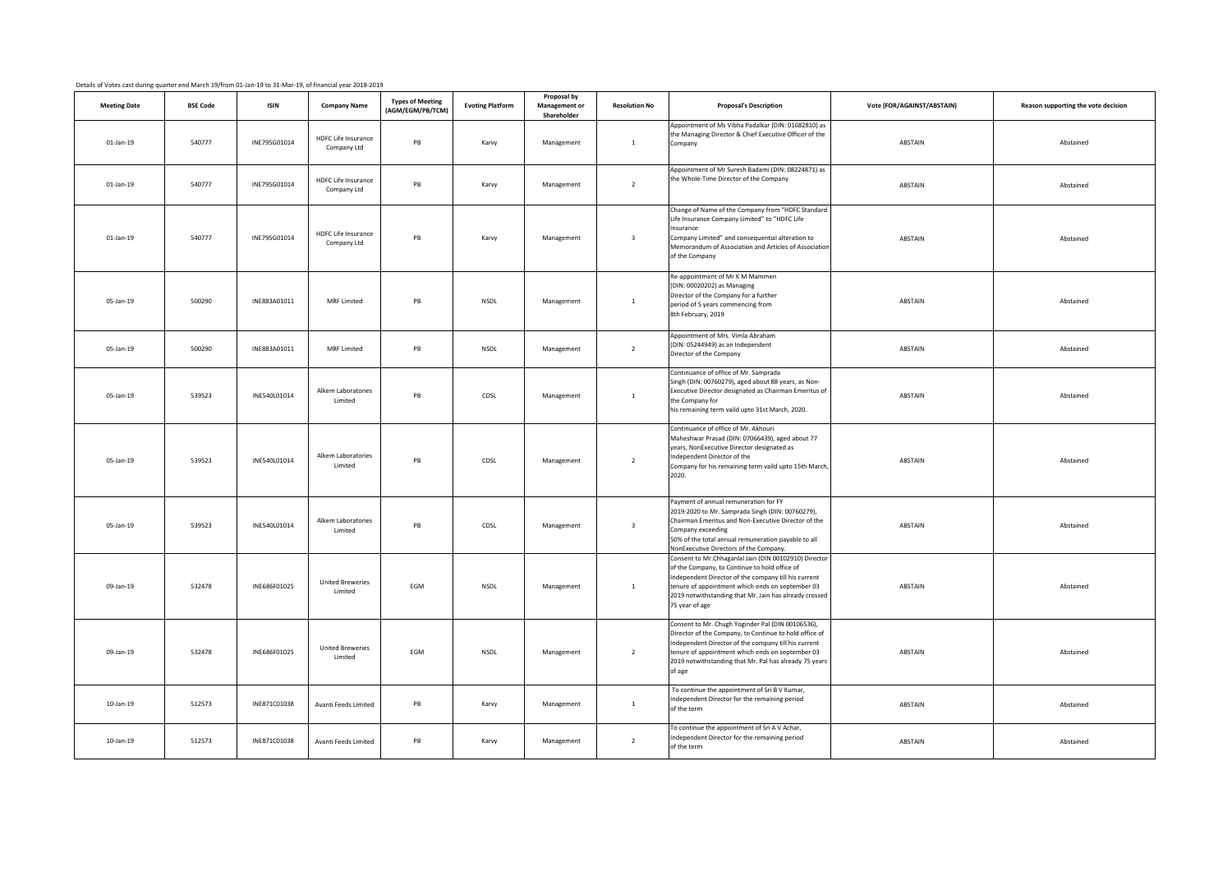| <b>Meeting Date</b> | <b>BSE Code</b> | <b>ISIN</b>  | <b>Company Name</b>                       | <b>Types of Meeting</b><br>(AGM/EGM/PB/TCM) | <b>Evoting Platform</b> | Proposal by<br>Management or<br>Shareholder | <b>Resolution No</b>    | <b>Proposal's Description</b>                                                                                                                                                                                                                                                                  | Vote (FOR/AGAINST/ABSTAIN) | Reason supporting the vote decision |
|---------------------|-----------------|--------------|-------------------------------------------|---------------------------------------------|-------------------------|---------------------------------------------|-------------------------|------------------------------------------------------------------------------------------------------------------------------------------------------------------------------------------------------------------------------------------------------------------------------------------------|----------------------------|-------------------------------------|
| $01$ -Jan-19        | 540777          | INE795G01014 | <b>HDFC Life Insurance</b><br>Company Ltd | PB                                          | Karvy                   | Management                                  | $\overline{1}$          | Appointment of Ms Vibha Padalkar (DIN: 01682810) as<br>the Managing Director & Chief Executive Officer of the<br>Company                                                                                                                                                                       | ABSTAIN                    | Abstained                           |
| $01$ -Jan-19        | 540777          | INE795G01014 | HDFC Life Insurance<br>Company Ltd        | PB                                          | Karvy                   | Management                                  | $\overline{2}$          | Appointment of Mr Suresh Badami (DIN: 08224871) as<br>the Whole-Time Director of the Company                                                                                                                                                                                                   | ABSTAIN                    | Abstained                           |
| $01$ -Jan-19        | 540777          | INE795G01014 | <b>HDFC Life Insurance</b><br>Company Ltd | PB                                          | Karvy                   | Management                                  | $\overline{\mathbf{3}}$ | Change of Name of the Company from "HDFC Standard<br>Life Insurance Company Limited" to "HDFC Life<br>nsurance<br>Company Limited" and consequential alteration to<br>Memorandum of Association and Articles of Association<br>of the Company                                                  | ABSTAIN                    | Abstained                           |
| 05-Jan-19           | 500290          | INE883A01011 | <b>MRF Limited</b>                        | PB                                          | <b>NSDL</b>             | Management                                  | $\overline{1}$          | Re-appointment of Mr K M Mammen<br>(DIN: 00020202) as Managing<br>Director of the Company for a further<br>period of 5 years commencing from<br>8th February, 2019                                                                                                                             | ABSTAIN                    | Abstained                           |
| 05-Jan-19           | 500290          | INE883A01011 | <b>MRF Limited</b>                        | PB                                          | NSDL                    | Management                                  | $\overline{2}$          | Appointment of Mrs. Vimla Abraham<br>(DIN: 05244949) as an Independent<br>Director of the Company                                                                                                                                                                                              | ABSTAIN                    | Abstained                           |
| 05-Jan-19           | 539523          | INE540L01014 | Alkem Laboratories<br>Limited             | PB                                          | CDSL                    | Management                                  | $\overline{1}$          | Continuance of office of Mr. Samprada<br>Singh (DIN: 00760279), aged about 88 years, as Non-<br>Executive Director designated as Chairman Emeritus of<br>the Company for<br>his remaining term vaild upto 31st March, 2020.                                                                    | ABSTAIN                    | Abstained                           |
| 05-Jan-19           | 539523          | INE540L01014 | Alkem Laboratories<br>Limited             | PB                                          | CDSL                    | Management                                  | $\overline{2}$          | Continuance of office of Mr. Akhouri<br>Maheshwar Prasad (DIN: 07066439), aged about 77<br>years, NonExecutive Director designated as<br>ndependent Director of the<br>Company for his remaining term vaild upto 15th March<br>2020.                                                           | ABSTAIN                    | Abstained                           |
| 05-Jan-19           | 539523          | INE540L01014 | Alkem Laboratories<br>Limited             | PB                                          | CDSL                    | Management                                  | $\overline{\mathbf{3}}$ | Payment of annual remuneration for FY<br>2019-2020 to Mr. Samprada Singh (DIN: 00760279),<br>Chairman Emeritus and Non-Executive Director of the<br>Company exceeding<br>50% of the total annual remuneration payable to all<br>NonExecutive Directors of the Company.                         | ABSTAIN                    | Abstained                           |
| 09-Jan-19           | 532478          | INE686F01025 | <b>United Breweries</b><br>Limited        | EGM                                         | NSDL                    | Management                                  | $\mathbf{1}$            | Consent to Mr.Chhaganlal Jain (DIN 00102910) Director<br>of the Company, to Continue to hold office of<br>Independent Director of the company till his current<br>tenure of appointment which ends on september 03<br>2019 notwithstanding that Mr. Jain has already crossed<br>75 year of age | ABSTAIN                    | Abstained                           |
| 09-Jan-19           | 532478          | INE686F01025 | <b>United Breweries</b><br><b>Limited</b> | EGM                                         | NSDL                    | Management                                  | $\overline{2}$          | Consent to Mr. Chugh Yoginder Pal (DIN 00106536),<br>Director of the Company, to Continue to hold office of<br>Independent Director of the company till his current<br>tenure of appointment which ends on september 03<br>2019 notwithstanding that Mr. Pal has already 75 years<br>of age    | ABSTAIN                    | Abstained                           |
| 10-Jan-19           | 512573          | INE871C01038 | Avanti Feeds Limited                      | PB                                          | Karvy                   | Management                                  | $\mathbf{1}$            | To continue the appointment of Sri B V Kumar,<br>ndependent Director for the remaining period<br>of the term                                                                                                                                                                                   | ABSTAIN                    | Abstained                           |
| 10-Jan-19           | 512573          | INE871C01038 | Avanti Feeds Limited                      | PB                                          | Karvy                   | Management                                  | $\overline{2}$          | To continue the appointment of Sri A V Achar,<br>ndependent Director for the remaining period<br>of the term                                                                                                                                                                                   | ABSTAIN                    | Abstained                           |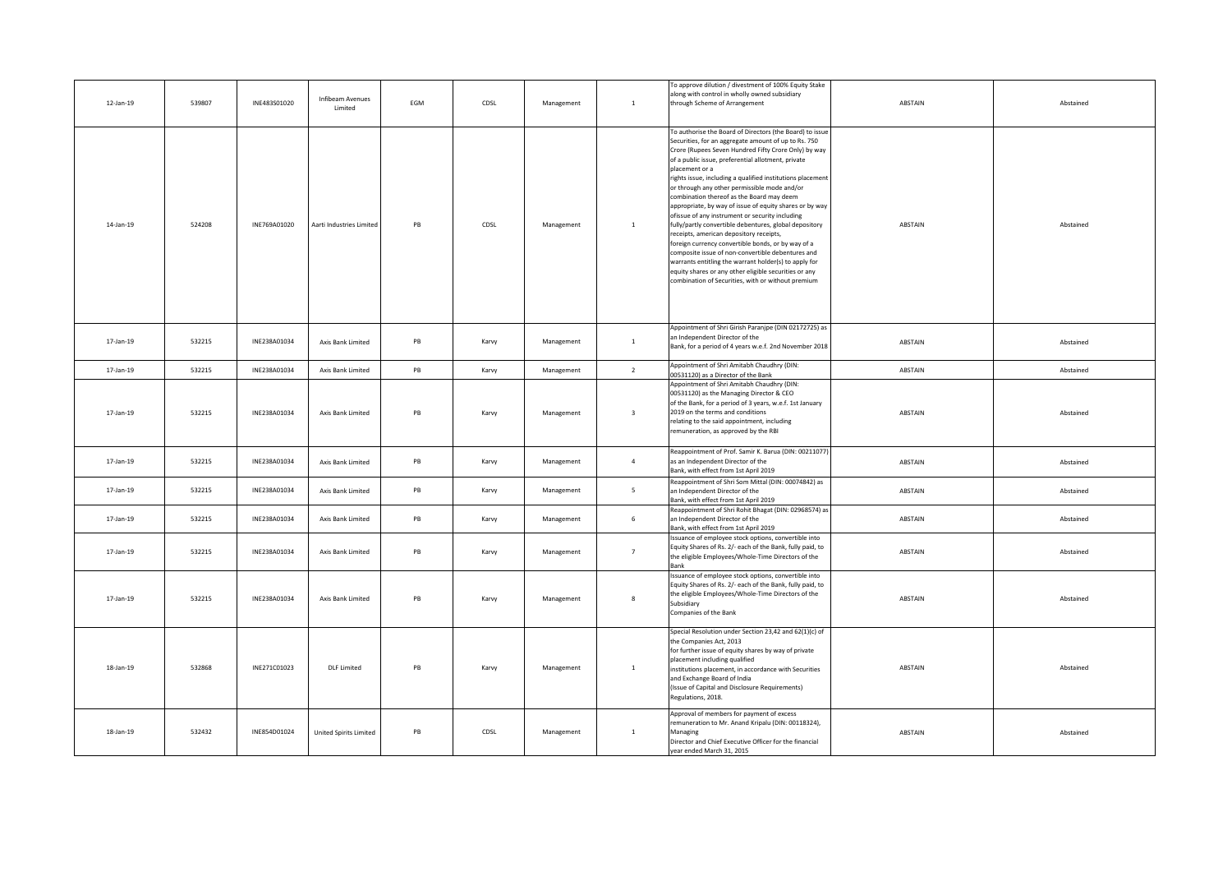| 12-Jan-19 | 539807 | INE483S01020 | Infibeam Avenues<br>Limited   | EGM | CDSL  | Management | $\mathbf{1}$            | To approve dilution / divestment of 100% Equity Stake<br>along with control in wholly owned subsidiary<br>through Scheme of Arrangement                                                                                                                                                                                                                                                                                                                                                                                                                                                                                                                                                                                                                                                                                                                                                                           | ABSTAIN | Abstained |
|-----------|--------|--------------|-------------------------------|-----|-------|------------|-------------------------|-------------------------------------------------------------------------------------------------------------------------------------------------------------------------------------------------------------------------------------------------------------------------------------------------------------------------------------------------------------------------------------------------------------------------------------------------------------------------------------------------------------------------------------------------------------------------------------------------------------------------------------------------------------------------------------------------------------------------------------------------------------------------------------------------------------------------------------------------------------------------------------------------------------------|---------|-----------|
| 14-Jan-19 | 524208 | INE769A01020 | Aarti Industries Limited      | PB  | CDSL  | Management | $\mathbf{1}$            | To authorise the Board of Directors (the Board) to issue<br>Securities, for an aggregate amount of up to Rs. 750<br>Crore (Rupees Seven Hundred Fifty Crore Only) by way<br>of a public issue, preferential allotment, private<br>placement or a<br>rights issue, including a qualified institutions placement<br>or through any other permissible mode and/or<br>combination thereof as the Board may deem<br>appropriate, by way of issue of equity shares or by way<br>ofissue of any instrument or security including<br>fully/partly convertible debentures, global depository<br>receipts, american depository receipts,<br>foreign currency convertible bonds, or by way of a<br>composite issue of non-convertible debentures and<br>warrants entitling the warrant holder(s) to apply for<br>equity shares or any other eligible securities or any<br>combination of Securities, with or without premium | ABSTAIN | Abstained |
| 17-Jan-19 | 532215 | INE238A01034 | Axis Bank Limited             | PB  | Karvy | Management | $\mathbf{1}$            | Appointment of Shri Girish Paranjpe (DIN 02172725) as<br>an Independent Director of the<br>Bank, for a period of 4 years w.e.f. 2nd November 2018                                                                                                                                                                                                                                                                                                                                                                                                                                                                                                                                                                                                                                                                                                                                                                 | ABSTAIN | Abstained |
| 17-Jan-19 | 532215 | INE238A01034 | Axis Bank Limited             | PB  | Karvy | Management | $\overline{2}$          | Appointment of Shri Amitabh Chaudhry (DIN:<br>00531120) as a Director of the Bank                                                                                                                                                                                                                                                                                                                                                                                                                                                                                                                                                                                                                                                                                                                                                                                                                                 | ABSTAIN | Abstained |
| 17-Jan-19 | 532215 | INE238A01034 | Axis Bank Limited             | PB  | Karvy | Management | $\overline{\mathbf{3}}$ | Appointment of Shri Amitabh Chaudhry (DIN:<br>00531120) as the Managing Director & CEO<br>of the Bank, for a period of 3 years, w.e.f. 1st January<br>2019 on the terms and conditions<br>relating to the said appointment, including<br>remuneration, as approved by the RBI                                                                                                                                                                                                                                                                                                                                                                                                                                                                                                                                                                                                                                     | ABSTAIN | Abstained |
| 17-Jan-19 | 532215 | INE238A01034 | Axis Bank Limited             | PB  | Karvy | Management | $\overline{4}$          | Reappointment of Prof. Samir K. Barua (DIN: 00211077<br>as an Independent Director of the<br>Bank, with effect from 1st April 2019                                                                                                                                                                                                                                                                                                                                                                                                                                                                                                                                                                                                                                                                                                                                                                                | ABSTAIN | Abstained |
| 17-Jan-19 | 532215 | INE238A01034 | Axis Bank Limited             | PB  | Karvy | Management | 5 <sub>1</sub>          | Reappointment of Shri Som Mittal (DIN: 00074842) as<br>an Independent Director of the<br>Bank, with effect from 1st April 2019                                                                                                                                                                                                                                                                                                                                                                                                                                                                                                                                                                                                                                                                                                                                                                                    | ABSTAIN | Abstained |
| 17-Jan-19 | 532215 | INE238A01034 | Axis Bank Limited             | PB  | Karvy | Management | 6                       | Reappointment of Shri Rohit Bhagat (DIN: 02968574) as<br>an Independent Director of the<br>Bank, with effect from 1st April 2019                                                                                                                                                                                                                                                                                                                                                                                                                                                                                                                                                                                                                                                                                                                                                                                  | ABSTAIN | Abstained |
| 17-Jan-19 | 532215 | INE238A01034 | Axis Bank Limited             | PB  | Karvy | Management | $7^{\circ}$             | Issuance of employee stock options, convertible into<br>Equity Shares of Rs. 2/- each of the Bank, fully paid, to<br>the eligible Employees/Whole-Time Directors of the<br><b>Bank</b>                                                                                                                                                                                                                                                                                                                                                                                                                                                                                                                                                                                                                                                                                                                            | ABSTAIN | Abstained |
| 17-Jan-19 | 532215 | INE238A01034 | Axis Bank Limited             | PB  | Karvy | Management | $\boldsymbol{8}$        | Issuance of employee stock options, convertible into<br>Equity Shares of Rs. 2/- each of the Bank, fully paid, to<br>the eligible Employees/Whole-Time Directors of the<br>Subsidiary<br>Companies of the Bank                                                                                                                                                                                                                                                                                                                                                                                                                                                                                                                                                                                                                                                                                                    | ABSTAIN | Abstained |
| 18-Jan-19 | 532868 | INE271C01023 | <b>DLF</b> Limited            | PB  | Karvy | Management | $\mathbf{1}$            | Special Resolution under Section 23,42 and 62(1)(c) of<br>the Companies Act, 2013<br>for further issue of equity shares by way of private<br>placement including qualified<br>institutions placement, in accordance with Securities<br>and Exchange Board of India<br>(Issue of Capital and Disclosure Requirements)<br>Regulations, 2018.                                                                                                                                                                                                                                                                                                                                                                                                                                                                                                                                                                        | ABSTAIN | Abstained |
| 18-Jan-19 | 532432 | INE854D01024 | <b>United Spirits Limited</b> | PB  | CDSL  | Management | $\mathbf{1}$            | Approval of members for payment of excess<br>remuneration to Mr. Anand Kripalu (DIN: 00118324),<br>Managing<br>Director and Chief Executive Officer for the financial<br>year ended March 31, 2015                                                                                                                                                                                                                                                                                                                                                                                                                                                                                                                                                                                                                                                                                                                | ABSTAIN | Abstained |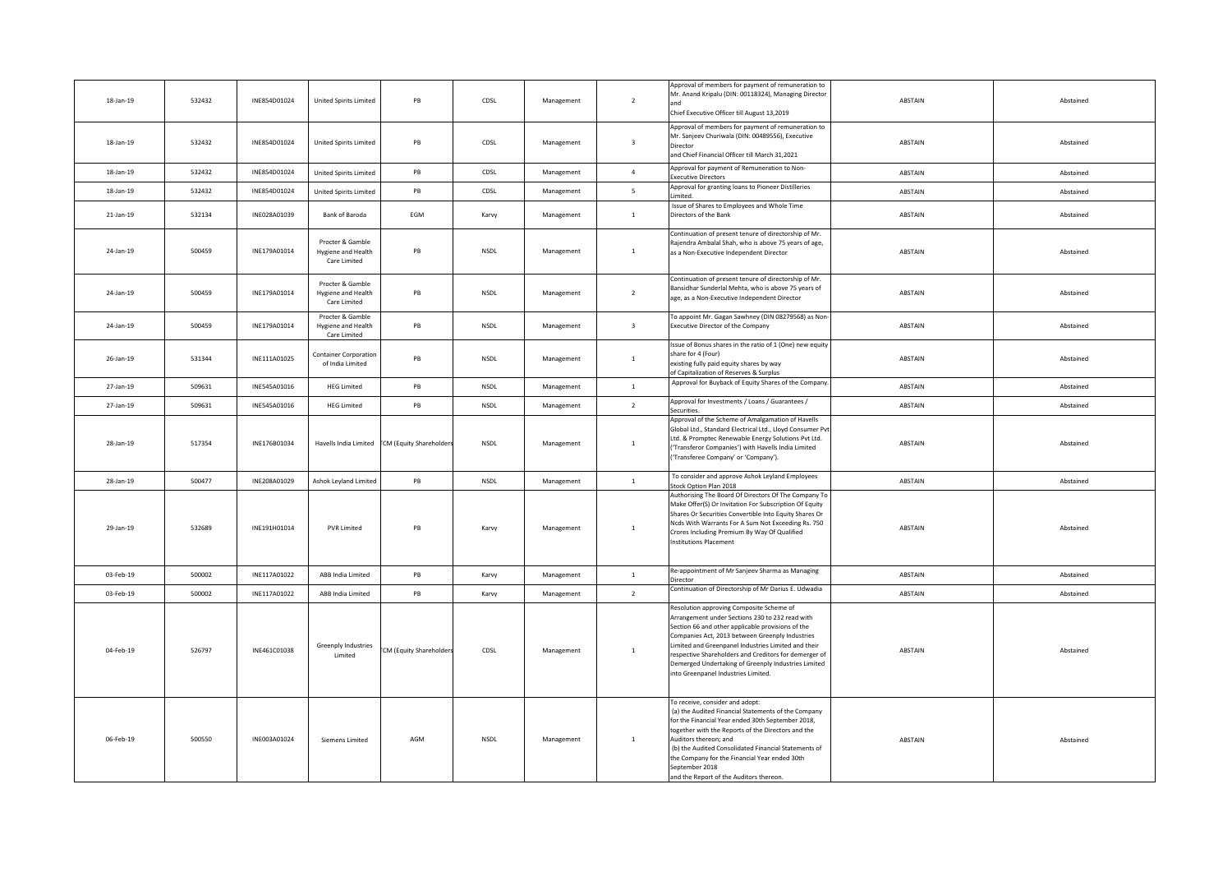| 18-Jan-19    | 532432 | INE854D01024 | <b>United Spirits Limited</b>                          | PB                                           | CDSL        | Management | $\overline{2}$          | Approval of members for payment of remuneration to<br>Mr. Anand Kripalu (DIN: 00118324), Managing Director<br>and<br>Chief Executive Officer till August 13,2019                                                                                                                                                                                                                                                 | ABSTAIN | Abstained |
|--------------|--------|--------------|--------------------------------------------------------|----------------------------------------------|-------------|------------|-------------------------|------------------------------------------------------------------------------------------------------------------------------------------------------------------------------------------------------------------------------------------------------------------------------------------------------------------------------------------------------------------------------------------------------------------|---------|-----------|
| 18-Jan-19    | 532432 | INE854D01024 | <b>United Spirits Limited</b>                          | PB                                           | CDSL        | Management | $\overline{\mathbf{3}}$ | Approval of members for payment of remuneration to<br>Mr. Sanjeev Churiwala (DIN: 00489556), Executive<br>Director<br>and Chief Financial Officer till March 31,2021                                                                                                                                                                                                                                             | ABSTAIN | Abstained |
| 18-Jan-19    | 532432 | INE854D01024 | <b>United Spirits Limited</b>                          | PB                                           | CDSL        | Management | $\overline{4}$          | Approval for payment of Remuneration to Non-<br>xecutive Directors                                                                                                                                                                                                                                                                                                                                               | ABSTAIN | Abstained |
| 18-Jan-19    | 532432 | INE854D01024 | <b>United Spirits Limited</b>                          | PB                                           | CDSL        | Management | $\overline{5}$          | Approval for granting loans to Pioneer Distilleries<br>imited.                                                                                                                                                                                                                                                                                                                                                   | ABSTAIN | Abstained |
| $21$ -Jan-19 | 532134 | INE028A01039 | Bank of Baroda                                         | EGM                                          | Karvy       | Management | $1\,$                   | Issue of Shares to Employees and Whole Time<br>Directors of the Bank                                                                                                                                                                                                                                                                                                                                             | ABSTAIN | Abstained |
| 24-Jan-19    | 500459 | INE179A01014 | Procter & Gamble<br>Hygiene and Health<br>Care Limited | PB                                           | <b>NSDL</b> | Management | $\mathbf{1}$            | Continuation of present tenure of directorship of Mr.<br>Rajendra Ambalal Shah, who is above 75 years of age,<br>as a Non-Executive Independent Director                                                                                                                                                                                                                                                         | ABSTAIN | Abstained |
| 24-Jan-19    | 500459 | INE179A01014 | Procter & Gamble<br>Hygiene and Health<br>Care Limited | PB                                           | NSDL        | Management | $\overline{2}$          | Continuation of present tenure of directorship of Mr.<br>Bansidhar Sunderlal Mehta, who is above 75 years of<br>age, as a Non-Executive Independent Director                                                                                                                                                                                                                                                     | ABSTAIN | Abstained |
| 24-Jan-19    | 500459 | INE179A01014 | Procter & Gamble<br>Hygiene and Health<br>Care Limited | PB                                           | NSDL        | Management | $\overline{\mathbf{3}}$ | o appoint Mr. Gagan Sawhney (DIN 08279568) as Non-<br>xecutive Director of the Company                                                                                                                                                                                                                                                                                                                           | ABSTAIN | Abstained |
| 26-Jan-19    | 531344 | INE111A01025 | <b>Container Corporation</b><br>of India Limited       | PB                                           | NSDL        | Management | $1\,$                   | Issue of Bonus shares in the ratio of 1 (One) new equity<br>hare for 4 (Four)<br>xisting fully paid equity shares by way<br>of Capitalization of Reserves & Surplus                                                                                                                                                                                                                                              | ABSTAIN | Abstained |
| 27-Jan-19    | 509631 | INE545A01016 | <b>HEG Limited</b>                                     | $\mathsf{PB}$                                | NSDL        | Management | $\mathbf{1}$            | Approval for Buyback of Equity Shares of the Company.                                                                                                                                                                                                                                                                                                                                                            | ABSTAIN | Abstained |
| 27-Jan-19    | 509631 | INE545A01016 | <b>HEG Limited</b>                                     | $\mathsf{PB}$                                | NSDL        | Management | $\overline{2}$          | Approval for Investments / Loans / Guarantees /<br>Securities.                                                                                                                                                                                                                                                                                                                                                   | ABSTAIN | Abstained |
| 28-Jan-19    | 517354 | INE176B01034 |                                                        | Havells India Limited CM (Equity Shareholder | NSDL        | Management | $\mathbf{1}$            | Approval of the Scheme of Amalgamation of Havells<br>Global Ltd., Standard Electrical Ltd., Lloyd Consumer Pvt<br>Ltd. & Promptec Renewable Energy Solutions Pvt Ltd.<br>'Transferor Companies') with Havells India Limited<br>'Transferee Company' or 'Company').                                                                                                                                               | ABSTAIN | Abstained |
| 28-Jan-19    | 500477 | INE208A01029 | Ashok Leyland Limited                                  | PB                                           | <b>NSDL</b> | Management | $1$ $\,$                | To consider and approve Ashok Leyland Employees<br>tock Option Plan 2018                                                                                                                                                                                                                                                                                                                                         | ABSTAIN | Abstained |
| 29-Jan-19    | 532689 | INE191H01014 | <b>PVR Limited</b>                                     | PB                                           | Karvy       | Management | $\mathbf{1}$            | Authorising The Board Of Directors Of The Company To<br>Make Offer(S) Or Invitation For Subscription Of Equity<br>Shares Or Securities Convertible Into Equity Shares Or<br>Ncds With Warrants For A Sum Not Exceeding Rs. 750<br>Crores Including Premium By Way Of Qualified<br>nstitutions Placement                                                                                                          | ABSTAIN | Abstained |
| 03-Feb-19    | 500002 | INE117A01022 | ABB India Limited                                      | $\mathsf{PB}$                                | Karvy       | Management | $1\,$                   | Re-appointment of Mr Sanjeev Sharma as Managing<br>rector                                                                                                                                                                                                                                                                                                                                                        | ABSTAIN | Abstained |
| 03-Feb-19    | 500002 | INE117A01022 | ABB India Limited                                      | PB                                           | Karvy       | Management | $\overline{2}$          | Continuation of Directorship of Mr Darius E. Udwadia                                                                                                                                                                                                                                                                                                                                                             | ABSTAIN | Abstained |
| 04-Feb-19    | 526797 | INE461C01038 | Greenply Industries<br>Limited                         | CM (Equity Shareholder                       | CDSL        | Management | $\mathbf{1}$            | Resolution approving Composite Scheme of<br>Arrangement under Sections 230 to 232 read with<br>Section 66 and other applicable provisions of the<br>Companies Act, 2013 between Greenply Industries<br>imited and Greenpanel Industries Limited and their<br>respective Shareholders and Creditors for demerger of<br>Demerged Undertaking of Greenply Industries Limited<br>into Greenpanel Industries Limited. | ABSTAIN | Abstained |
| 06-Feb-19    | 500550 | INE003A01024 | Siemens Limited                                        | AGM                                          | <b>NSDI</b> | Management | $\mathbf{1}$            | To receive, consider and adopt:<br>(a) the Audited Financial Statements of the Company<br>for the Financial Year ended 30th September 2018,<br>together with the Reports of the Directors and the<br>Auditors thereon; and<br>(b) the Audited Consolidated Financial Statements of<br>the Company for the Financial Year ended 30th<br>September 2018<br>and the Report of the Auditors thereon.                 | ABSTAIN | Abstained |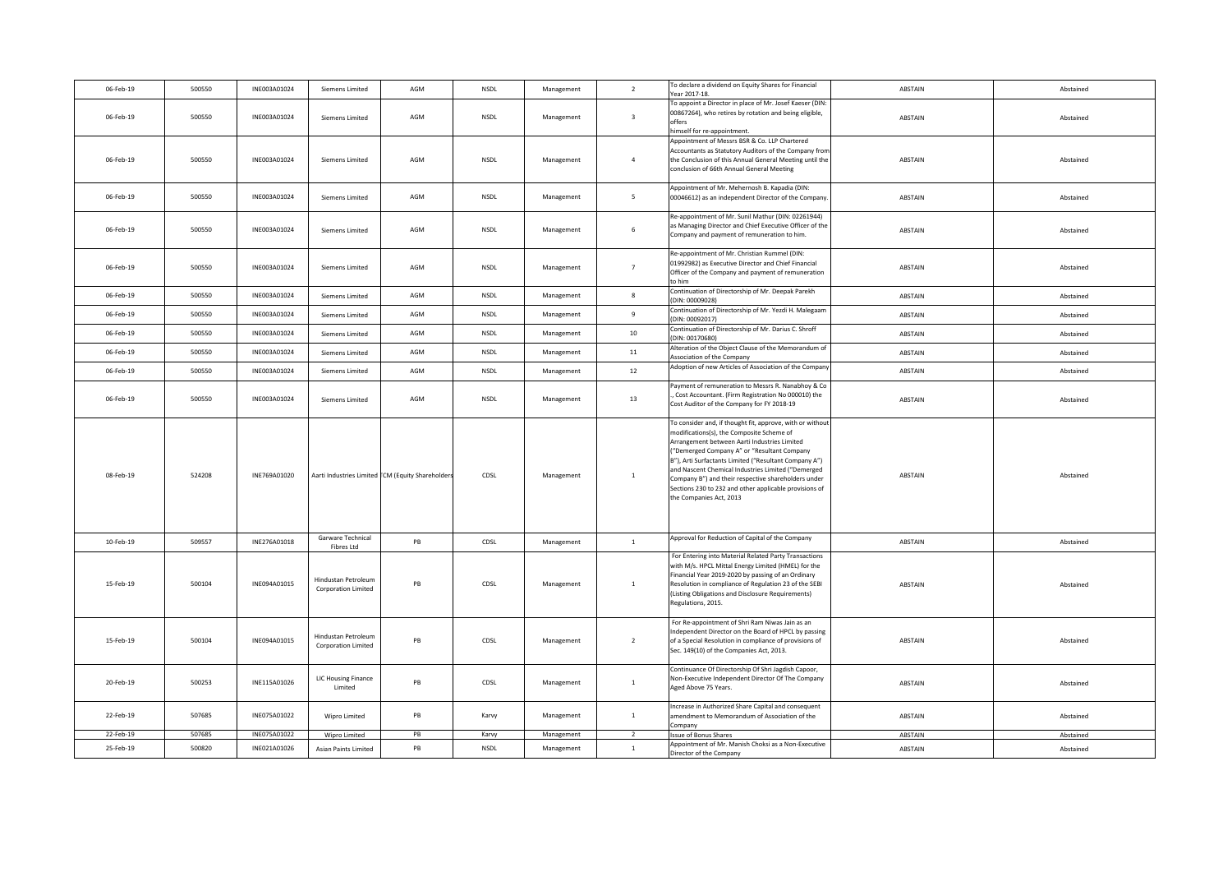| 06-Feb-19 | 500550 | INE003A01024 | Siemens Limited                                   | AGM                                              | <b>NSDL</b> | Management | $\overline{2}$          | To declare a dividend on Equity Shares for Financial<br>Year 2017-18.                                                                                                                                                                                                                                                                                                                                                                                           | ABSTAIN | Abstained |
|-----------|--------|--------------|---------------------------------------------------|--------------------------------------------------|-------------|------------|-------------------------|-----------------------------------------------------------------------------------------------------------------------------------------------------------------------------------------------------------------------------------------------------------------------------------------------------------------------------------------------------------------------------------------------------------------------------------------------------------------|---------|-----------|
| 06-Feb-19 | 500550 | INE003A01024 | <b>Siemens Limited</b>                            | AGM                                              | <b>NSDL</b> | Management | $\overline{\mathbf{3}}$ | To appoint a Director in place of Mr. Josef Kaeser (DIN:<br>00867264), who retires by rotation and being eligible,<br>offers<br>imself for re-appointment.                                                                                                                                                                                                                                                                                                      | ABSTAIN | Abstained |
| 06-Feb-19 | 500550 | INE003A01024 | Siemens Limited                                   | AGM                                              | NSDL        | Management | $\overline{4}$          | Appointment of Messrs BSR & Co. LLP Chartered<br>Accountants as Statutory Auditors of the Company from<br>the Conclusion of this Annual General Meeting until the<br>conclusion of 66th Annual General Meeting                                                                                                                                                                                                                                                  | ABSTAIN | Abstained |
| 06-Feb-19 | 500550 | INE003A01024 | Siemens Limited                                   | AGM                                              | <b>NSDL</b> | Management | $5^{\circ}$             | Appointment of Mr. Mehernosh B. Kapadia (DIN:<br>00046612) as an independent Director of the Company                                                                                                                                                                                                                                                                                                                                                            | ABSTAIN | Abstained |
| 06-Feb-19 | 500550 | INE003A01024 | <b>Siemens Limited</b>                            | AGM                                              | NSDL        | Management | 6                       | Re-appointment of Mr. Sunil Mathur (DIN: 02261944)<br>as Managing Director and Chief Executive Officer of the<br>Company and payment of remuneration to him.                                                                                                                                                                                                                                                                                                    | ABSTAIN | Abstained |
| 06-Feb-19 | 500550 | INE003A01024 | Siemens Limited                                   | AGM                                              | <b>NSDL</b> | Management | $7\overline{ }$         | Re-appointment of Mr. Christian Rummel (DIN:<br>01992982) as Executive Director and Chief Financial<br>Officer of the Company and payment of remuneration<br>to him                                                                                                                                                                                                                                                                                             | ABSTAIN | Abstained |
| 06-Feb-19 | 500550 | INE003A01024 | <b>Siemens Limited</b>                            | AGM                                              | <b>NSDL</b> | Management | $\boldsymbol{8}$        | Continuation of Directorship of Mr. Deepak Parekh<br>(DIN: 00009028)                                                                                                                                                                                                                                                                                                                                                                                            | ABSTAIN | Abstained |
| 06-Feb-19 | 500550 | INE003A01024 | Siemens Limited                                   | AGM                                              | <b>NSDL</b> | Management | $\mathbf{q}$            | Continuation of Directorship of Mr. Yezdi H. Malegaam<br>DIN: 00092017)                                                                                                                                                                                                                                                                                                                                                                                         | ABSTAIN | Abstained |
| 06-Feb-19 | 500550 | INE003A01024 | Siemens Limited                                   | AGM                                              | <b>NSDL</b> | Management | 10                      | Continuation of Directorship of Mr. Darius C. Shroff<br>DIN: 00170680)                                                                                                                                                                                                                                                                                                                                                                                          | ABSTAIN | Abstained |
| 06-Feb-19 | 500550 | INE003A01024 | <b>Siemens Limited</b>                            | AGM                                              | <b>NSDL</b> | Management | 11                      | Alteration of the Object Clause of the Memorandum of<br>Association of the Company                                                                                                                                                                                                                                                                                                                                                                              | ABSTAIN | Abstained |
| 06-Feb-19 | 500550 | INE003A01024 | <b>Siemens Limited</b>                            | AGM                                              | <b>NSDL</b> | Management | 12                      | Adoption of new Articles of Association of the Company                                                                                                                                                                                                                                                                                                                                                                                                          | ABSTAIN | Abstained |
| 06-Feb-19 | 500550 | INE003A01024 | Siemens Limited                                   | AGM                                              | <b>NSDL</b> | Management | 13                      | Payment of remuneration to Messrs R. Nanabhoy & Co<br>, Cost Accountant. (Firm Registration No 000010) the<br>Cost Auditor of the Company for FY 2018-19                                                                                                                                                                                                                                                                                                        | ABSTAIN | Abstained |
| 08-Feb-19 | 524208 | INE769A01020 |                                                   | Aarti Industries Limited CM (Equity Shareholders | CDSL        | Management | $\mathbf{1}$            | To consider and, if thought fit, approve, with or without<br>modifications(s), the Composite Scheme of<br>Arrangement between Aarti Industries Limited<br>"Demerged Company A" or "Resultant Company<br>3"), Arti Surfactants Limited ("Resultant Company A")<br>and Nascent Chemical Industries Limited ("Demerged<br>Company B") and their respective shareholders under<br>Sections 230 to 232 and other applicable provisions of<br>the Companies Act, 2013 | ABSTAIN | Abstained |
| 10-Feb-19 | 509557 | INE276A01018 | Garware Technical<br>Fibres Ltd                   | PB                                               | CDSL        | Management | $\mathbf{1}$            | Approval for Reduction of Capital of the Company                                                                                                                                                                                                                                                                                                                                                                                                                | ABSTAIN | Abstained |
| 15-Feb-19 | 500104 | INE094A01015 | Hindustan Petroleum<br><b>Corporation Limited</b> | PB                                               | CDSL        | Management | $\mathbf{1}$            | For Entering into Material Related Party Transactions<br>with M/s. HPCL Mittal Energy Limited (HMEL) for the<br>Financial Year 2019-2020 by passing of an Ordinary<br>Resolution in compliance of Regulation 23 of the SEBI<br>(Listing Obligations and Disclosure Requirements)<br>Regulations, 2015.                                                                                                                                                          | ABSTAIN | Abstained |
| 15-Feb-19 | 500104 | INE094A01015 | Hindustan Petroleum<br><b>Corporation Limited</b> | PB                                               | CDSL        | Management | $\overline{2}$          | For Re-appointment of Shri Ram Niwas Jain as an<br>Independent Director on the Board of HPCL by passing<br>of a Special Resolution in compliance of provisions of<br>Sec. 149(10) of the Companies Act, 2013.                                                                                                                                                                                                                                                   | ABSTAIN | Abstained |
| 20-Feb-19 | 500253 | INE115A01026 | <b>LIC Housing Finance</b><br>Limited             | PB                                               | CDSL        | Management | $\mathbf{1}$            | Continuance Of Directorship Of Shri Jagdish Capoor,<br>Non-Executive Independent Director Of The Company<br>Aged Above 75 Years.                                                                                                                                                                                                                                                                                                                                | ABSTAIN | Abstained |
| 22-Feb-19 | 507685 | INE075A01022 | Wipro Limited                                     | PB                                               | Karvy       | Management | $\mathbf{1}$            | Increase in Authorized Share Capital and consequent<br>amendment to Memorandum of Association of the<br>Company                                                                                                                                                                                                                                                                                                                                                 | ABSTAIN | Abstained |
| 22-Feb-19 | 507685 | INE075A01022 | Wipro Limited                                     | PB                                               | Karvy       | Management | $\overline{2}$          | Issue of Bonus Shares<br>Appointment of Mr. Manish Choksi as a Non-Executive                                                                                                                                                                                                                                                                                                                                                                                    | ABSTAIN | Abstained |
| 25-Feb-19 | 500820 | INE021A01026 | Asian Paints Limited                              | PB                                               | <b>NSDL</b> | Management | $\mathbf{1}$            | Director of the Company                                                                                                                                                                                                                                                                                                                                                                                                                                         | ABSTAIN | Abstained |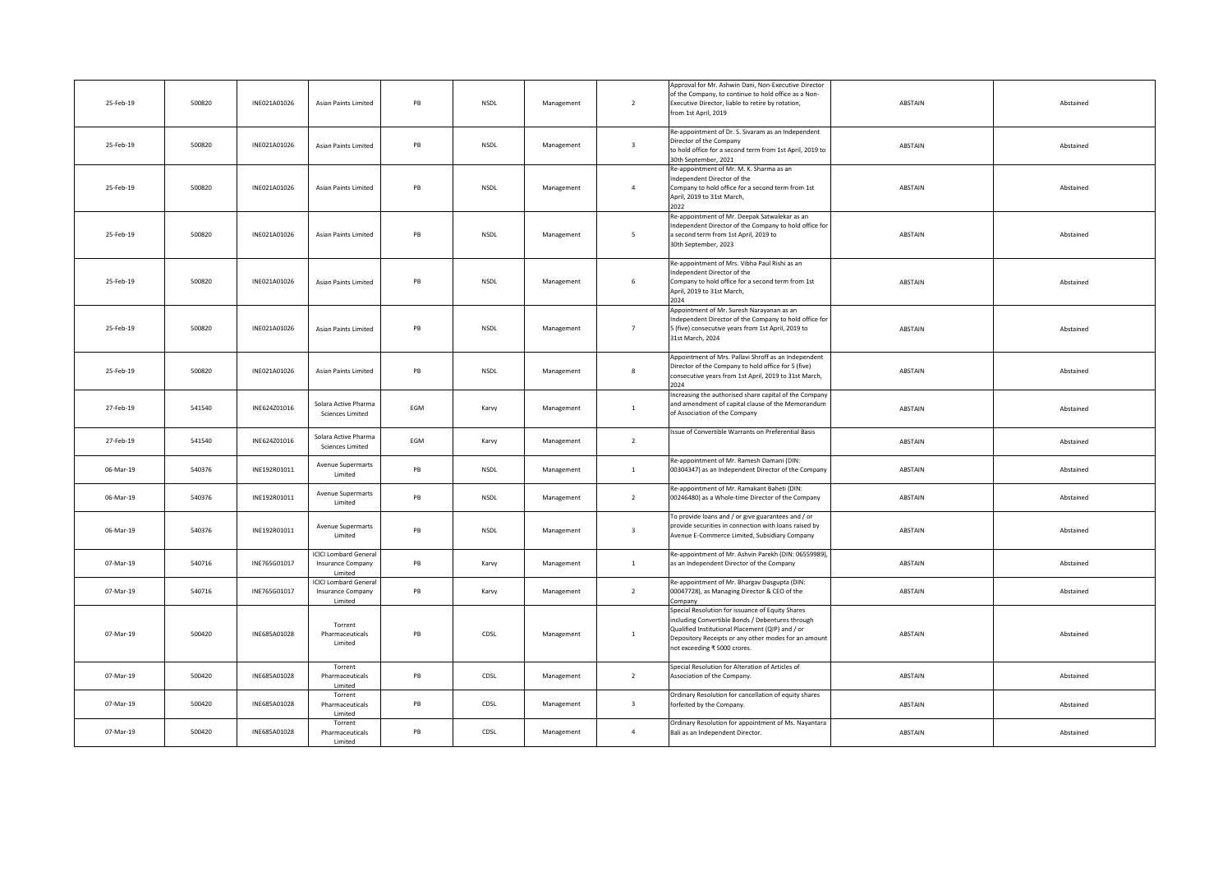| 25-Feb-19 | 500820 | INE021A01026 | <b>Asian Paints Limited</b>                                        | PB  | NSDL        | Management | $\overline{2}$          | Approval for Mr. Ashwin Dani, Non-Executive Director<br>of the Company, to continue to hold office as a Non-<br>Executive Director, liable to retire by rotation,<br>from 1st April, 2019                                                        | ABSTAIN | Abstained |
|-----------|--------|--------------|--------------------------------------------------------------------|-----|-------------|------------|-------------------------|--------------------------------------------------------------------------------------------------------------------------------------------------------------------------------------------------------------------------------------------------|---------|-----------|
| 25-Feb-19 | 500820 | INE021A01026 | <b>Asian Paints Limited</b>                                        | PB  | <b>NSDL</b> | Management | $\overline{\mathbf{3}}$ | Re-appointment of Dr. S. Sivaram as an Independent<br>Director of the Company<br>to hold office for a second term from 1st April, 2019 to<br>30th September, 2021                                                                                | ABSTAIN | Abstained |
| 25-Feb-19 | 500820 | INE021A01026 | <b>Asian Paints Limited</b>                                        | PB  | NSDL        | Management | $\overline{4}$          | Re-appointment of Mr. M. K. Sharma as an<br>ndependent Director of the<br>Company to hold office for a second term from 1st<br>April, 2019 to 31st March,<br>2022                                                                                | ABSTAIN | Abstained |
| 25-Feb-19 | 500820 | INE021A01026 | <b>Asian Paints Limited</b>                                        | PB  | <b>NSDL</b> | Management | $\overline{5}$          | Re-appointment of Mr. Deepak Satwalekar as an<br>ndependent Director of the Company to hold office for<br>a second term from 1st April, 2019 to<br>30th September, 2023                                                                          | ABSTAIN | Abstained |
| 25-Feb-19 | 500820 | INE021A01026 | <b>Asian Paints Limited</b>                                        | PB  | <b>NSDL</b> | Management | 6                       | Re-appointment of Mrs. Vibha Paul Rishi as an<br>ndependent Director of the<br>Company to hold office for a second term from 1st<br>April, 2019 to 31st March,<br>2024                                                                           | ABSTAIN | Abstained |
| 25-Feb-19 | 500820 | INE021A01026 | <b>Asian Paints Limited</b>                                        | PB  | NSDL        | Management | $\overline{7}$          | Appointment of Mr. Suresh Narayanan as an<br>ndependent Director of the Company to hold office for<br>5 (five) consecutive years from 1st April, 2019 to<br>31st March, 2024                                                                     | ABSTAIN | Abstained |
| 25-Feb-19 | 500820 | INE021A01026 | <b>Asian Paints Limited</b>                                        | PB  | <b>NSDL</b> | Management | $\boldsymbol{8}$        | Appointment of Mrs. Pallavi Shroff as an Independent<br>Director of the Company to hold office for 5 (five)<br>onsecutive years from 1st April, 2019 to 31st March,<br>024                                                                       | ABSTAIN | Abstained |
| 27-Feb-19 | 541540 | INE624Z01016 | Solara Active Pharma<br><b>Sciences Limited</b>                    | EGM | Karvy       | Management | 1                       | Increasing the authorised share capital of the Company<br>and amendment of capital clause of the Memorandum<br>of Association of the Company                                                                                                     | ABSTAIN | Abstained |
| 27-Feb-19 | 541540 | INE624Z01016 | Solara Active Pharma<br><b>Sciences Limited</b>                    | EGM | Karvy       | Management | $\overline{2}$          | Issue of Convertible Warrants on Preferential Basis                                                                                                                                                                                              | ABSTAIN | Abstained |
| 06-Mar-19 | 540376 | INE192R01011 | Avenue Supermarts<br>Limited                                       | PB  | NSDL        | Management | $1\,$                   | Re-appointment of Mr. Ramesh Damani (DIN:<br>00304347) as an Independent Director of the Company                                                                                                                                                 | ABSTAIN | Abstained |
| 06-Mar-19 | 540376 | INE192R01011 | Avenue Supermarts<br>Limited                                       | PB  | NSDL        | Management | $\overline{2}$          | Re-appointment of Mr. Ramakant Baheti (DIN:<br>00246480) as a Whole-time Director of the Company                                                                                                                                                 | ABSTAIN | Abstained |
| 06-Mar-19 | 540376 | INE192R01011 | <b>Avenue Supermarts</b><br>Limited                                | PB  | <b>NSDL</b> | Management | $\overline{\mathbf{3}}$ | To provide loans and / or give guarantees and / or<br>provide securities in connection with loans raised by<br>Avenue E-Commerce Limited, Subsidiary Company                                                                                     | ABSTAIN | Abstained |
| 07-Mar-19 | 540716 | INE765G01017 | <b>ICICI Lombard General</b><br>Insurance Company<br>Limited       | PB  | Karvy       | Management | $\mathbf{1}$            | Re-appointment of Mr. Ashvin Parekh (DIN: 06559989),<br>as an Independent Director of the Company                                                                                                                                                | ABSTAIN | Abstained |
| 07-Mar-19 | 540716 | INE765G01017 | <b>ICICI Lombard Genera</b><br><b>Insurance Company</b><br>Limited | PB  | Karvy       | Management | $\overline{2}$          | Re-appointment of Mr. Bhargav Dasgupta (DIN:<br>00047728), as Managing Director & CEO of the<br>company                                                                                                                                          | ABSTAIN | Abstained |
| 07-Mar-19 | 500420 | INE685A01028 | Torrent<br>Pharmaceuticals<br>Limited                              | PB  | CDSL        | Management | $\mathbf{1}$            | Special Resolution for issuance of Equity Shares<br>including Convertible Bonds / Debentures through<br>Qualified Institutional Placement (QIP) and / or<br>Depository Receipts or any other modes for an amount<br>not exceeding ₹ 5000 crores. | ABSTAIN | Abstained |
| 07-Mar-19 | 500420 | INE685A01028 | Torrent<br>Pharmaceuticals<br>Limited                              | PB  | CDSL        | Management | $\overline{2}$          | Special Resolution for Alteration of Articles of<br>Association of the Company.                                                                                                                                                                  | ABSTAIN | Abstained |
| 07-Mar-19 | 500420 | INE685A01028 | Torrent<br>Pharmaceuticals<br>Limited                              | PB  | CDSL        | Management | $\overline{\mathbf{3}}$ | Ordinary Resolution for cancellation of equity shares<br>forfeited by the Company.                                                                                                                                                               | ABSTAIN | Abstained |
| 07-Mar-19 | 500420 | INE685A01028 | Torrent<br>Pharmaceuticals<br>Limited                              | PB  | CDSL        | Management | $\overline{4}$          | Ordinary Resolution for appointment of Ms. Nayantara<br>Bali as an Independent Director.                                                                                                                                                         | ABSTAIN | Abstained |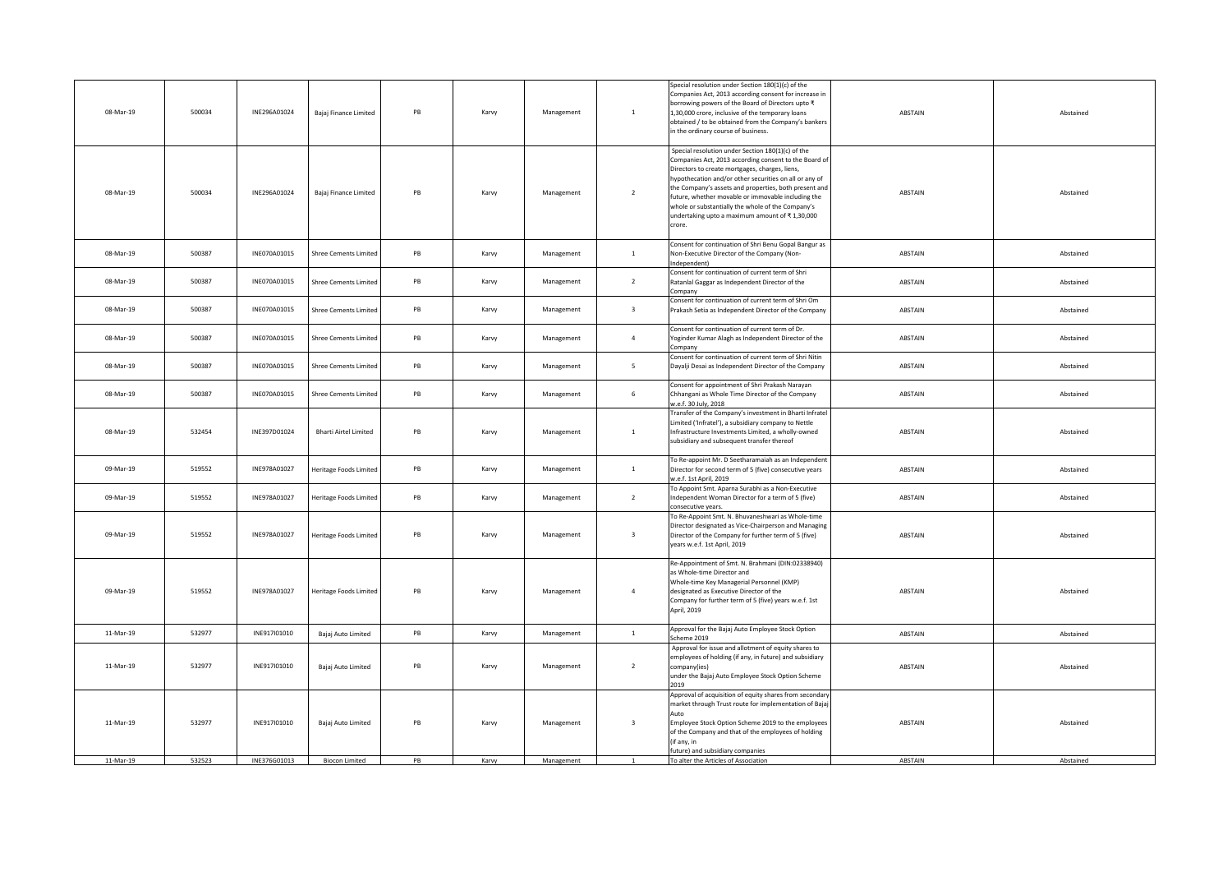| 08-Mar-19 | 500034 | INE296A01024 | Bajaj Finance Limited        | PB | Karvy | Management | $\mathbf{1}$            | Special resolution under Section 180(1)(c) of the<br>Companies Act, 2013 according consent for increase in<br>oorrowing powers of the Board of Directors upto ₹<br>1,30,000 crore, inclusive of the temporary loans<br>obtained / to be obtained from the Company's bankers<br>in the ordinary course of business.                                                                                                                                     | ABSTAIN        | Abstained |
|-----------|--------|--------------|------------------------------|----|-------|------------|-------------------------|--------------------------------------------------------------------------------------------------------------------------------------------------------------------------------------------------------------------------------------------------------------------------------------------------------------------------------------------------------------------------------------------------------------------------------------------------------|----------------|-----------|
| 08-Mar-19 | 500034 | INE296A01024 | Bajaj Finance Limited        | PB | Karvy | Management | $\overline{2}$          | Special resolution under Section 180(1)(c) of the<br>Companies Act, 2013 according consent to the Board of<br>Directors to create mortgages, charges, liens,<br>hypothecation and/or other securities on all or any of<br>the Company's assets and properties, both present and<br>future, whether movable or immovable including the<br>whole or substantially the whole of the Company's<br>undertaking upto a maximum amount of ₹1,30,000<br>crore. | ABSTAIN        | Abstained |
| 08-Mar-19 | 500387 | INE070A01015 | <b>Shree Cements Limited</b> | PB | Karvy | Management | $\mathbf{1}$            | Consent for continuation of Shri Benu Gopal Bangur as<br>Non-Executive Director of the Company (Non-<br>ndependent)                                                                                                                                                                                                                                                                                                                                    | ABSTAIN        | Abstained |
| 08-Mar-19 | 500387 | INE070A01015 | <b>Shree Cements Limited</b> | PB | Karvy | Management | $\overline{2}$          | Consent for continuation of current term of Shri<br>Ratanlal Gaggar as Independent Director of the<br>company                                                                                                                                                                                                                                                                                                                                          | ABSTAIN        | Abstained |
| 08-Mar-19 | 500387 | INE070A01015 | <b>Shree Cements Limited</b> | PB | Karvy | Management | $\overline{\mathbf{3}}$ | Consent for continuation of current term of Shri Om<br>Prakash Setia as Independent Director of the Company                                                                                                                                                                                                                                                                                                                                            | ABSTAIN        | Abstained |
| 08-Mar-19 | 500387 | INE070A01015 | <b>Shree Cements Limited</b> | PB | Karvy | Management | $\overline{4}$          | Consent for continuation of current term of Dr.<br>Oginder Kumar Alagh as Independent Director of the<br>ompany                                                                                                                                                                                                                                                                                                                                        | ABSTAIN        | Abstained |
| 08-Mar-19 | 500387 | INE070A01015 | <b>Shree Cements Limited</b> | PB | Karvy | Management | 5 <sup>5</sup>          | Consent for continuation of current term of Shri Nitin<br>Dayalji Desai as Independent Director of the Company                                                                                                                                                                                                                                                                                                                                         | ABSTAIN        | Abstained |
| 08-Mar-19 | 500387 | INE070A01015 | <b>Shree Cements Limited</b> | PB | Karvy | Management | 6                       | Consent for appointment of Shri Prakash Narayan<br>Chhangani as Whole Time Director of the Company<br>v.e.f. 30 July, 2018                                                                                                                                                                                                                                                                                                                             | ABSTAIN        | Abstained |
| 08-Mar-19 | 532454 | INE397D01024 | <b>Bharti Airtel Limited</b> | PB | Karvy | Management | $\mathbf{1}$            | Transfer of the Company's investment in Bharti Infratel<br>Limited ('Infratel'), a subsidiary company to Nettle<br>Infrastructure Investments Limited, a wholly-owned<br>subsidiary and subsequent transfer thereof                                                                                                                                                                                                                                    | ABSTAIN        | Abstained |
| 09-Mar-19 | 519552 | INE978A01027 | Heritage Foods Limited       | PB | Karvy | Management | $\mathbf{1}$            | To Re-appoint Mr. D Seetharamaiah as an Independent<br>Director for second term of 5 (five) consecutive years<br>v.e.f. 1st April, 2019                                                                                                                                                                                                                                                                                                                | ABSTAIN        | Abstained |
| 09-Mar-19 | 519552 | INE978A01027 | Heritage Foods Limited       | PB | Karvy | Management | $\overline{2}$          | To Appoint Smt. Aparna Surabhi as a Non-Executive<br>Independent Woman Director for a term of 5 (five)<br>onsecutive years.                                                                                                                                                                                                                                                                                                                            | ABSTAIN        | Abstained |
| 09-Mar-19 | 519552 | INE978A01027 | Heritage Foods Limited       | PB | Karvy | Management | $\overline{\mathbf{3}}$ | To Re-Appoint Smt. N. Bhuvaneshwari as Whole-time<br>Director designated as Vice-Chairperson and Managing<br>Director of the Company for further term of 5 (five)<br>ears w.e.f. 1st April, 2019                                                                                                                                                                                                                                                       | ABSTAIN        | Abstained |
| 09-Mar-19 | 519552 | INE978A01027 | Heritage Foods Limited       | PB | Karvy | Management | $\overline{4}$          | Re-Appointment of Smt. N. Brahmani (DIN:02338940)<br>as Whole-time Director and<br>Whole-time Key Managerial Personnel (KMP)<br>designated as Executive Director of the<br>Company for further term of 5 (five) years w.e.f. 1st<br>April, 2019                                                                                                                                                                                                        | ABSTAIN        | Abstained |
| 11-Mar-19 | 532977 | INE917I01010 | Bajaj Auto Limited           | PB | Karvy | Management | $\mathbf{1}$            | Approval for the Bajaj Auto Employee Stock Option<br>Scheme 2019                                                                                                                                                                                                                                                                                                                                                                                       | ABSTAIN        | Abstained |
| 11-Mar-19 | 532977 | INE917I01010 | Bajaj Auto Limited           | PB | Karvy | Management | $\overline{2}$          | Approval for issue and allotment of equity shares to<br>employees of holding (if any, in future) and subsidiary<br>company(ies)<br>under the Bajaj Auto Employee Stock Option Scheme                                                                                                                                                                                                                                                                   | ABSTAIN        | Abstained |
| 11-Mar-19 | 532977 | INE917I01010 | Bajaj Auto Limited           | PB | Karvy | Management | $\overline{\mathbf{3}}$ | Approval of acquisition of equity shares from secondar<br>market through Trust route for implementation of Bajaj<br>Employee Stock Option Scheme 2019 to the employees<br>of the Company and that of the employees of holding<br>(if any, in<br>future) and subsidiary companies                                                                                                                                                                       | ABSTAIN        | Abstained |
| 11-Mar-19 | 532523 | INE376G01013 | <b>Biocon Limited</b>        | PB | Karvy | Management | $\overline{1}$          | To alter the Articles of Association                                                                                                                                                                                                                                                                                                                                                                                                                   | <b>ABSTAIN</b> | Abstained |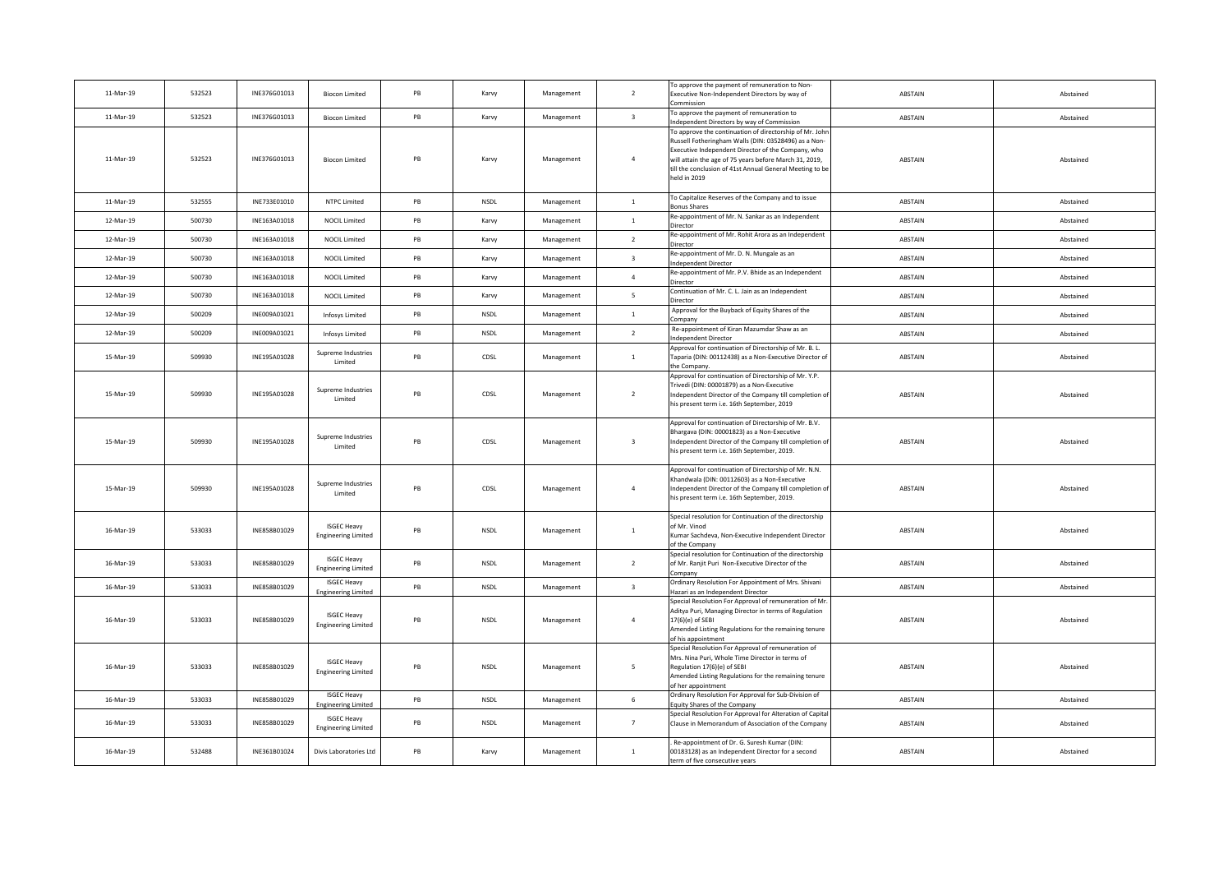| 11-Mar-19 | 532523 | INE376G01013 | <b>Biocon Limited</b>                            | PB            | Karvy       | Management | $\overline{2}$          | To approve the payment of remuneration to Non-<br>Executive Non-Independent Directors by way of<br>`ommissior                                                                                                                                                                                            | ABSTAIN | Abstained |
|-----------|--------|--------------|--------------------------------------------------|---------------|-------------|------------|-------------------------|----------------------------------------------------------------------------------------------------------------------------------------------------------------------------------------------------------------------------------------------------------------------------------------------------------|---------|-----------|
| 11-Mar-19 | 532523 | INE376G01013 | <b>Biocon Limited</b>                            | PB            | Karvy       | Management | $\overline{\mathbf{3}}$ | To approve the payment of remuneration to<br>ndependent Directors by way of Commission                                                                                                                                                                                                                   | ABSTAIN | Abstained |
| 11-Mar-19 | 532523 | INE376G01013 | <b>Biocon Limited</b>                            | PB            | Karvy       | Management | $\overline{4}$          | To approve the continuation of directorship of Mr. John<br>Russell Fotheringham Walls (DIN: 03528496) as a Non-<br>xecutive Independent Director of the Company, who<br>will attain the age of 75 years before March 31, 2019,<br>ill the conclusion of 41st Annual General Meeting to be<br>eld in 2019 | ABSTAIN | Abstained |
| 11-Mar-19 | 532555 | INE733E01010 | NTPC Limited                                     | PB            | NSDL        | Management | 1                       | To Capitalize Reserves of the Company and to issue<br>onus Shares                                                                                                                                                                                                                                        | ABSTAIN | Abstained |
| 12-Mar-19 | 500730 | INE163A01018 | <b>NOCIL Limited</b>                             | $\mathsf{PB}$ | Karvy       | Management | $\mathbf{1}$            | Re-appointment of Mr. N. Sankar as an Independent<br>Director                                                                                                                                                                                                                                            | ABSTAIN | Abstained |
| 12-Mar-19 | 500730 | INE163A01018 | <b>NOCIL Limited</b>                             | PB            | Karvy       | Management | $\overline{2}$          | Re-appointment of Mr. Rohit Arora as an Independent<br>Director                                                                                                                                                                                                                                          | ABSTAIN | Abstained |
| 12-Mar-19 | 500730 | INE163A01018 | <b>NOCIL Limited</b>                             | PB            | Karvy       | Management | $\overline{\mathbf{3}}$ | Re-appointment of Mr. D. N. Mungale as an<br>ndependent Director                                                                                                                                                                                                                                         | ABSTAIN | Abstained |
| 12-Mar-19 | 500730 | INE163A01018 | <b>NOCIL Limited</b>                             | PB            | Karvy       | Management | $\overline{4}$          | Re-appointment of Mr. P.V. Bhide as an Independent<br>Director                                                                                                                                                                                                                                           | ABSTAIN | Abstained |
| 12-Mar-19 | 500730 | INE163A01018 | <b>NOCIL Limited</b>                             | PB            | Karvy       | Management | 5 <sup>5</sup>          | Continuation of Mr. C. L. Jain as an Independent<br>Director                                                                                                                                                                                                                                             | ABSTAIN | Abstained |
| 12-Mar-19 | 500209 | INE009A01021 | Infosys Limited                                  | PB            | NSDL        | Management | $\mathbf{1}$            | Approval for the Buyback of Equity Shares of the<br>`ompany                                                                                                                                                                                                                                              | ABSTAIN | Abstained |
| 12-Mar-19 | 500209 | INE009A01021 | Infosys Limited                                  | PB            | <b>NSDL</b> | Management | $\overline{2}$          | Re-appointment of Kiran Mazumdar Shaw as an<br>ndependent Director                                                                                                                                                                                                                                       | ABSTAIN | Abstained |
| 15-Mar-19 | 509930 | INE195A01028 | Supreme Industries<br>Limited                    | PB            | CDSL        | Management | $\mathbf{1}$            | Approval for continuation of Directorship of Mr. B. L.<br>Taparia (DIN: 00112438) as a Non-Executive Director of<br>the Company.                                                                                                                                                                         | ABSTAIN | Abstained |
| 15-Mar-19 | 509930 | INE195A01028 | Supreme Industries<br>Limited                    | PB            | CDSL        | Management | $\overline{2}$          | Approval for continuation of Directorship of Mr. Y.P.<br>Frivedi (DIN: 00001879) as a Non-Executive<br>Independent Director of the Company till completion o<br>his present term i.e. 16th September, 2019                                                                                               | ABSTAIN | Abstained |
| 15-Mar-19 | 509930 | INE195A01028 | Supreme Industries<br>Limited                    | PB            | CDSL        | Management | $\overline{\mathbf{3}}$ | Approval for continuation of Directorship of Mr. B.V.<br>Bhargava (DIN: 00001823) as a Non-Executive<br>Independent Director of the Company till completion o<br>his present term i.e. 16th September, 2019.                                                                                             | ABSTAIN | Abstained |
| 15-Mar-19 | 509930 | INE195A01028 | Supreme Industries<br>Limited                    | PB            | CDSL        | Management | $\overline{4}$          | Approval for continuation of Directorship of Mr. N.N.<br>Khandwala (DIN: 00112603) as a Non-Executive<br>Independent Director of the Company till completion of<br>his present term i.e. 16th September, 2019.                                                                                           | ABSTAIN | Abstained |
| 16-Mar-19 | 533033 | INE858B01029 | <b>ISGEC Heavy</b><br><b>Engineering Limited</b> | PB            | <b>NSDL</b> | Management | $\mathbf{1}$            | Special resolution for Continuation of the directorship<br>of Mr. Vinod<br>Kumar Sachdeva, Non-Executive Independent Director<br>of the Company                                                                                                                                                          | ABSTAIN | Abstained |
| 16-Mar-19 | 533033 | INE858B01029 | <b>ISGEC Heavy</b><br><b>Engineering Limited</b> | PB            | NSDL        | Management | $\overline{2}$          | Special resolution for Continuation of the directorship<br>of Mr. Ranjit Puri Non-Executive Director of the<br>Company                                                                                                                                                                                   | ABSTAIN | Abstained |
| 16-Mar-19 | 533033 | INE858B01029 | <b>ISGEC Heavy</b><br><b>Engineering Limited</b> | PB            | <b>NSDL</b> | Management | $\overline{\mathbf{3}}$ | Ordinary Resolution For Appointment of Mrs. Shivani<br>lazari as an Independent Director                                                                                                                                                                                                                 | ABSTAIN | Abstained |
| 16-Mar-19 | 533033 | INE858B01029 | <b>ISGEC Heavy</b><br><b>Engineering Limited</b> | PB            | <b>NSDL</b> | Management | $\overline{4}$          | Special Resolution For Approval of remuneration of Mr<br>Aditya Puri, Managing Director in terms of Regulation<br>17(6)(e) of SEBI<br>mended Listing Regulations for the remaining tenure<br>of his appointment                                                                                          | ABSTAIN | Abstained |
| 16-Mar-19 | 533033 | INE858B01029 | <b>ISGEC Heavy</b><br><b>Engineering Limited</b> | PB            | <b>NSDL</b> | Management | 5 <sup>5</sup>          | Special Resolution For Approval of remuneration of<br>Mrs. Nina Puri, Whole Time Director in terms of<br>Regulation 17(6)(e) of SEBI<br>Amended Listing Regulations for the remaining tenure<br>of her appointment                                                                                       | ABSTAIN | Abstained |
| 16-Mar-19 | 533033 | INE858B01029 | <b>ISGEC Heavy</b><br><b>Engineering Limited</b> | $\mathsf{PB}$ | NSDL        | Management | $6\overline{6}$         | Ordinary Resolution For Approval for Sub-Division of<br><b>Equity Shares of the Company</b>                                                                                                                                                                                                              | ABSTAIN | Abstained |
| 16-Mar-19 | 533033 | INE858B01029 | <b>ISGEC Heavy</b><br><b>Engineering Limited</b> | PB            | NSDL        | Management | $7\overline{ }$         | Special Resolution For Approval for Alteration of Capital<br>Clause in Memorandum of Association of the Company                                                                                                                                                                                          | ABSTAIN | Abstained |
| 16-Mar-19 | 532488 | INE361B01024 | Divis Laboratories Ltd                           | PB            | Karvy       | Management | $\mathbf{1}$            | Re-appointment of Dr. G. Suresh Kumar (DIN:<br>00183128) as an Independent Director for a second<br>term of five consecutive years                                                                                                                                                                       | ABSTAIN | Abstained |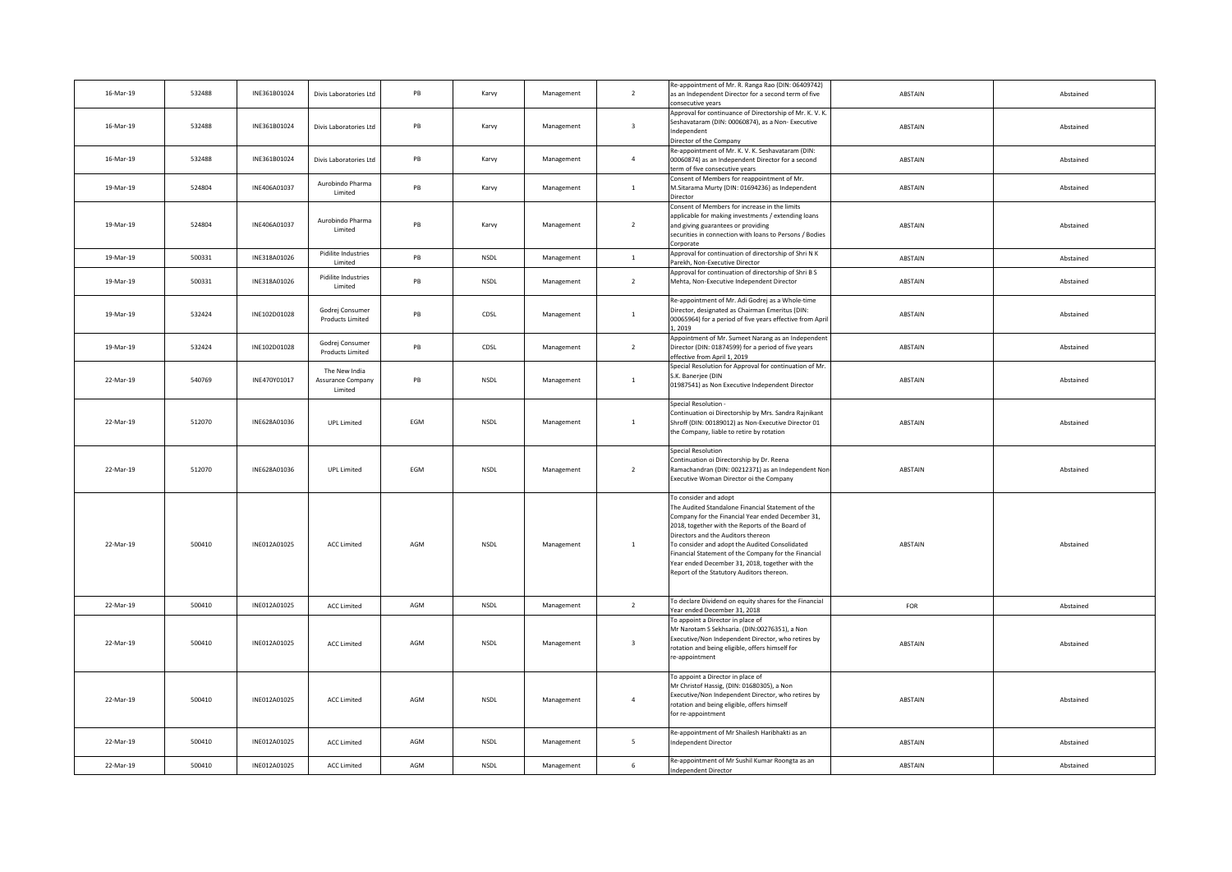| 16-Mar-19 | 532488 | INE361B01024 | Divis Laboratories Ltd                        | PB  | Karvy       | Management | $\overline{2}$          | Re-appointment of Mr. R. Ranga Rao (DIN: 06409742)<br>as an Independent Director for a second term of five<br>onsecutive years                                                                                                                                                                                                                                                                                                     | ABSTAIN        | Abstained |
|-----------|--------|--------------|-----------------------------------------------|-----|-------------|------------|-------------------------|------------------------------------------------------------------------------------------------------------------------------------------------------------------------------------------------------------------------------------------------------------------------------------------------------------------------------------------------------------------------------------------------------------------------------------|----------------|-----------|
| 16-Mar-19 | 532488 | INE361B01024 | Divis Laboratories Ltd                        | PB  | Karvy       | Management | $\overline{\mathbf{3}}$ | Approval for continuance of Directorship of Mr. K. V. K.<br>Seshavataram (DIN: 00060874), as a Non-Executive<br>ndependent<br>Director of the Company                                                                                                                                                                                                                                                                              | ABSTAIN        | Abstained |
| 16-Mar-19 | 532488 | INE361B01024 | Divis Laboratories Ltd                        | PB  | Karvy       | Management | $\overline{4}$          | Re-appointment of Mr. K. V. K. Seshavataram (DIN:<br>00060874) as an Independent Director for a second<br>rm of five consecutive years                                                                                                                                                                                                                                                                                             | ABSTAIN        | Abstained |
| 19-Mar-19 | 524804 | INE406A01037 | Aurobindo Pharma<br>Limited                   | PB  | Karvy       | Management | $\mathbf{1}$            | Consent of Members for reappointment of Mr.<br>M.Sitarama Murty (DIN: 01694236) as Independent<br>Director                                                                                                                                                                                                                                                                                                                         | ABSTAIN        | Abstained |
| 19-Mar-19 | 524804 | INE406A01037 | Aurobindo Pharma<br>Limited                   | PB  | Karvy       | Management | $\overline{2}$          | Consent of Members for increase in the limits<br>applicable for making investments / extending loans<br>and giving guarantees or providing<br>ecurities in connection with loans to Persons / Bodies<br>Corporate                                                                                                                                                                                                                  | ABSTAIN        | Abstained |
| 19-Mar-19 | 500331 | INE318A01026 | Pidilite Industries<br>Limited                | PB  | <b>NSDL</b> | Management | $\mathbf{1}$            | Approval for continuation of directorship of Shri N K<br>Parekh, Non-Executive Director                                                                                                                                                                                                                                                                                                                                            | ABSTAIN        | Abstained |
| 19-Mar-19 | 500331 | INE318A01026 | Pidilite Industries<br>Limited                | PB  | <b>NSDL</b> | Management | $\overline{2}$          | Approval for continuation of directorship of Shri B S<br>Mehta, Non-Executive Independent Director                                                                                                                                                                                                                                                                                                                                 | ABSTAIN        | Abstained |
| 19-Mar-19 | 532424 | INE102D01028 | Godrej Consumer<br><b>Products Limited</b>    | PB  | CDSL        | Management | $\mathbf{1}$            | Re-appointment of Mr. Adi Godrej as a Whole-time<br>Director, designated as Chairman Emeritus (DIN:<br>00065964) for a period of five years effective from April<br>.2019                                                                                                                                                                                                                                                          | ABSTAIN        | Abstained |
| 19-Mar-19 | 532424 | INE102D01028 | Godrej Consumer<br><b>Products Limited</b>    | PB  | CDSL        | Management | $\overline{2}$          | Appointment of Mr. Sumeet Narang as an Independent<br>Director (DIN: 01874599) for a period of five years<br>ffective from April 1, 2019                                                                                                                                                                                                                                                                                           | ABSTAIN        | Abstained |
| 22-Mar-19 | 540769 | INE470Y01017 | The New India<br>Assurance Company<br>Limited | PB  | NSDL        | Management | $\mathbf{1}$            | Special Resolution for Approval for continuation of Mr.<br>S.K. Banerjee (DIN<br>01987541) as Non Executive Independent Director                                                                                                                                                                                                                                                                                                   | ABSTAIN        | Abstained |
| 22-Mar-19 | 512070 | INE628A01036 | <b>UPL Limited</b>                            | EGM | <b>NSDL</b> | Management | $\mathbf{1}$            | Special Resolution -<br>Continuation oi Directorship by Mrs. Sandra Rajnikant<br>Shroff (DIN: 00189012) as Non-Executive Director 01<br>the Company, liable to retire by rotation                                                                                                                                                                                                                                                  | ABSTAIN        | Abstained |
| 22-Mar-19 | 512070 | INE628A01036 | <b>UPL Limited</b>                            | EGM | NSDL        | Management | $\overline{2}$          | <b>Special Resolution</b><br>Continuation oi Directorship by Dr. Reena<br>Ramachandran (DIN: 00212371) as an Independent Non-<br>Executive Woman Director oi the Company                                                                                                                                                                                                                                                           | ABSTAIN        | Abstained |
| 22-Mar-19 | 500410 | INE012A01025 | <b>ACC Limited</b>                            | AGM | NSDL        | Management | $\mathbf{1}$            | To consider and adopt<br>The Audited Standalone Financial Statement of the<br>Company for the Financial Year ended December 31,<br>2018, together with the Reports of the Board of<br>Directors and the Auditors thereon<br>To consider and adopt the Audited Consolidated<br>Financial Statement of the Company for the Financial<br>Year ended December 31, 2018, together with the<br>Report of the Statutory Auditors thereon. | ABSTAIN        | Abstained |
| 22-Mar-19 | 500410 | INE012A01025 | <b>ACC Limited</b>                            | AGM | <b>NSDL</b> | Management | $2^{\circ}$             | To declare Dividend on equity shares for the Financial<br>Year ended December 31, 2018                                                                                                                                                                                                                                                                                                                                             | FOR            | Abstained |
| 22-Mar-19 | 500410 | INE012A01025 | <b>ACC Limited</b>                            | AGM | <b>NSDL</b> | Management | $\overline{\mathbf{3}}$ | To appoint a Director in place of<br>Mr Narotam S Sekhsaria. (DIN:00276351), a Non<br>Executive/Non Independent Director, who retires by<br>rotation and being eligible, offers himself for<br>re-appointment                                                                                                                                                                                                                      | ABSTAIN        | Abstained |
| 22-Mar-19 | 500410 | INE012A01025 | <b>ACC Limited</b>                            | AGM | NSDL        | Management | $\overline{4}$          | To appoint a Director in place of<br>Mr Christof Hassig, (DIN: 01680305), a Non<br>Executive/Non Independent Director, who retires by<br>rotation and being eligible, offers himself<br>for re-appointment                                                                                                                                                                                                                         | ABSTAIN        | Abstained |
| 22-Mar-19 | 500410 | INE012A01025 | <b>ACC Limited</b>                            | AGM | <b>NSDL</b> | Management | 5 <sup>5</sup>          | Re-appointment of Mr Shailesh Haribhakti as an<br>Independent Director                                                                                                                                                                                                                                                                                                                                                             | <b>ABSTAIN</b> | Abstained |
| 22-Mar-19 | 500410 | INE012A01025 | <b>ACC Limited</b>                            | AGM | <b>NSDL</b> | Management | $6\overline{6}$         | Re-appointment of Mr Sushil Kumar Roongta as an<br>Independent Director                                                                                                                                                                                                                                                                                                                                                            | ABSTAIN        | Abstained |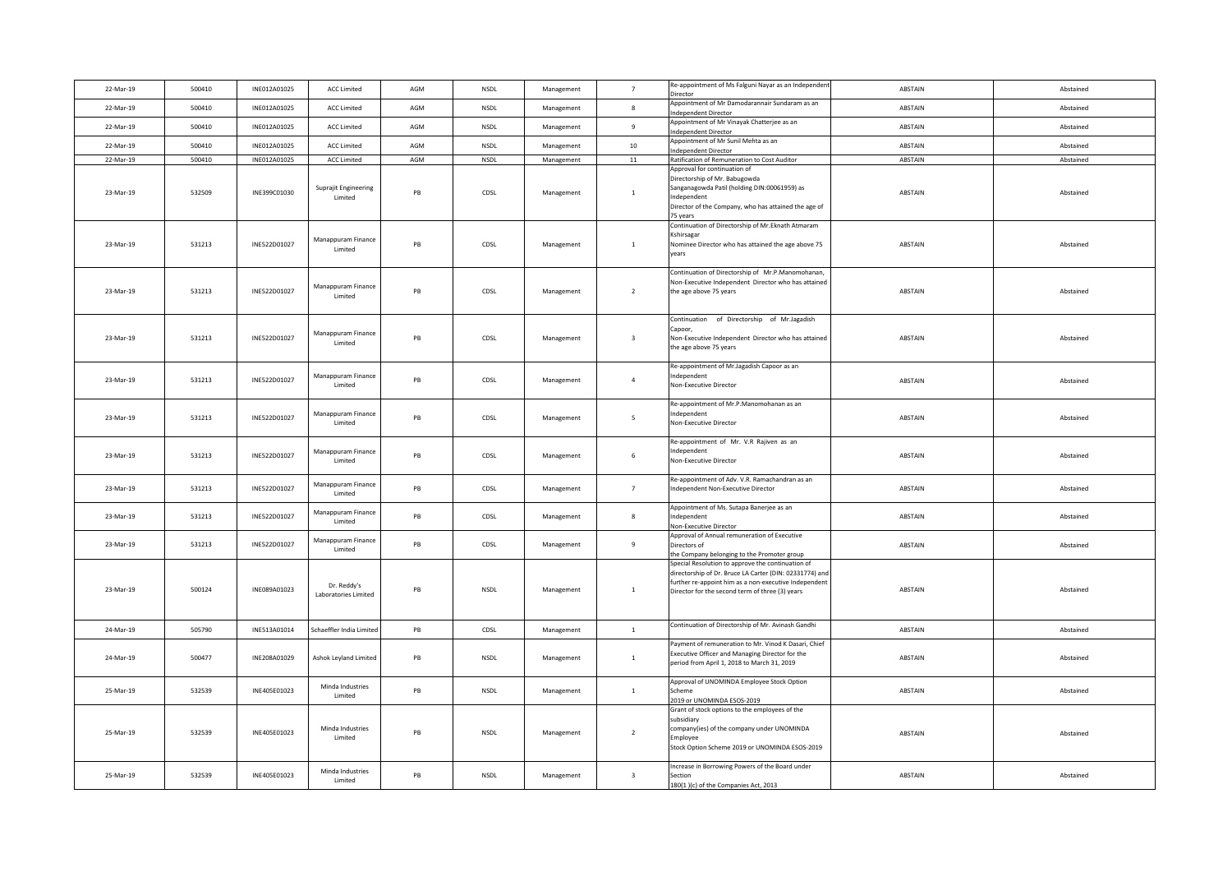| 22-Mar-19 | 500410 | INE012A01025 | <b>ACC Limited</b>                  | AGM           | NSDL        | Management | $7\overline{ }$         | Re-appointment of Ms Falguni Nayar as an Independent<br>Director                                                                                                                                                         | ABSTAIN        | Abstained |
|-----------|--------|--------------|-------------------------------------|---------------|-------------|------------|-------------------------|--------------------------------------------------------------------------------------------------------------------------------------------------------------------------------------------------------------------------|----------------|-----------|
| 22-Mar-19 | 500410 | INE012A01025 | <b>ACC Limited</b>                  | AGM           | <b>NSDL</b> | Management | 8                       | Appointment of Mr Damodarannair Sundaram as an<br>ndependent Director                                                                                                                                                    | ABSTAIN        | Abstained |
| 22-Mar-19 | 500410 | INE012A01025 | <b>ACC Limited</b>                  | AGM           | NSDL        | Management | $\,9$                   | Appointment of Mr Vinayak Chatterjee as an<br>ndependent Director                                                                                                                                                        | ABSTAIN        | Abstained |
| 22-Mar-19 | 500410 | INE012A01025 | <b>ACC Limited</b>                  | AGM           | NSDL        | Management | 10                      | Appointment of Mr Sunil Mehta as an<br>dependent Director                                                                                                                                                                | ABSTAIN        | Abstained |
| 22-Mar-19 | 500410 | INE012A01025 | <b>ACC Limited</b>                  | AGM           | <b>NSDL</b> | Management | 11                      | Ratification of Remuneration to Cost Auditor                                                                                                                                                                             | ABSTAIN        | Abstained |
| 23-Mar-19 | 532509 | INE399C01030 | Suprajit Engineering<br>Limited     | PB            | CDSL        | Management | $\mathbf{1}$            | Approval for continuation of<br>Directorship of Mr. Babugowda<br>Sanganagowda Patil (holding DIN:00061959) as<br>ndependent<br>Director of the Company, who has attained the age of<br>75 vears                          | ABSTAIN        | Abstained |
| 23-Mar-19 | 531213 | INE522D01027 | Manappuram Finance<br>Limited       | PB            | CDSL        | Management | $\mathbf{1}$            | Continuation of Directorship of Mr.Eknath Atmaram<br>Kshirsagar<br>Nominee Director who has attained the age above 75<br>vears                                                                                           | ABSTAIN        | Abstained |
| 23-Mar-19 | 531213 | INE522D01027 | Manappuram Finance<br>Limited       | PB            | CDSL        | Management | $\overline{2}$          | Continuation of Directorship of Mr.P.Manomohanan,<br>Ion-Executive Independent Director who has attained<br>the age above 75 years                                                                                       | ABSTAIN        | Abstained |
| 23-Mar-19 | 531213 | INE522D01027 | Manappuram Finance<br>Limited       | PB            | CDSL        | Management | $\overline{\mathbf{3}}$ | Continuation of Directorship of Mr.Jagadish<br>apoor.<br>Von-Executive Independent Director who has attained<br>he age above 75 years                                                                                    | ABSTAIN        | Abstained |
| 23-Mar-19 | 531213 | INE522D01027 | Manappuram Finance<br>Limited       | PB            | CDSL        | Management | $\overline{4}$          | Re-appointment of Mr.Jagadish Capoor as an<br>ndependent<br>Non-Executive Director                                                                                                                                       | ABSTAIN        | Abstained |
| 23-Mar-19 | 531213 | INE522D01027 | Manappuram Finance<br>Limited       | PB            | CDSL        | Management | $5\overline{5}$         | Re-appointment of Mr.P.Manomohanan as an<br>ndependent<br>Non-Executive Director                                                                                                                                         | ABSTAIN        | Abstained |
| 23-Mar-19 | 531213 | INE522D01027 | Manappuram Finance<br>Limited       | PB            | CDSL        | Management | $\sqrt{6}$              | Re-appointment of Mr. V.R Rajiven as an<br>ndependent<br>Non-Executive Director                                                                                                                                          | ABSTAIN        | Abstained |
| 23-Mar-19 | 531213 | INE522D01027 | Manappuram Finance<br>Limited       | PB            | CDSL        | Management | $7\overline{ }$         | Re-appointment of Adv. V.R. Ramachandran as an<br>ndependent Non-Executive Director                                                                                                                                      | ABSTAIN        | Abstained |
| 23-Mar-19 | 531213 | INE522D01027 | Manappuram Finance<br>Limited       | $\mathsf{PB}$ | CDSL        | Management | 8                       | Appointment of Ms. Sutapa Banerjee as an<br>ndependent<br>Ion-Executive Director                                                                                                                                         | ABSTAIN        | Abstained |
| 23-Mar-19 | 531213 | INE522D01027 | Manappuram Finance<br>Limited       | PB            | CDSL        | Management | $\overline{9}$          | Approval of Annual remuneration of Executive<br>irectors of<br>he Company belonging to the Promoter group                                                                                                                | <b>ABSTAIN</b> | Abstained |
| 23-Mar-19 | 500124 | INE089A01023 | Dr. Reddy's<br>Laboratories Limited | PB            | <b>NSDL</b> | Management | $\mathbf{1}$            | Special Resolution to approve the continuation of<br>lirectorship of Dr. Bruce LA Carter (DIN: 02331774) and<br>further re-appoint him as a non-executive Independent<br>Director for the second term of three (3) years | ABSTAIN        | Abstained |
| 24-Mar-19 | 505790 | INE513A01014 | Schaeffler India Limited            | PB            | CDSL        | Management | 1                       | Continuation of Directorship of Mr. Avinash Gandhi                                                                                                                                                                       | ABSTAIN        | Abstained |
| 24-Mar-19 | 500477 | INE208A01029 | Ashok Leyland Limited               | PB            | <b>NSDL</b> | Management | 1                       | Payment of remuneration to Mr. Vinod K Dasari, Chief<br>Executive Officer and Managing Director for the<br>period from April 1, 2018 to March 31, 2019                                                                   | ABSTAIN        | Abstained |
| 25-Mar-19 | 532539 | INE405E01023 | Minda Industries<br>Limited         | $\mathsf{PB}$ | NSDL        | Management | 1                       | Approval of UNOMINDA Employee Stock Option<br>2019 or UNOMINDA ESOS-2019                                                                                                                                                 | ABSTAIN        | Abstained |
| 25-Mar-19 | 532539 | INE405E01023 | Minda Industries<br>Limited         | PB            | NSDL        | Management | $\overline{2}$          | Grant of stock options to the employees of the<br>ubsidiary<br>ompany(ies) of the company under UNOMINDA<br>mployee<br>Stock Option Scheme 2019 or UNOMINDA ESOS-2019                                                    | ABSTAIN        | Abstained |
| 25-Mar-19 | 532539 | INE405E01023 | Minda Industries<br>Limited         | $\mathsf{PB}$ | NSDL        | Management | $\overline{\mathbf{3}}$ | Increase in Borrowing Powers of the Board under<br>Section<br>180(1)(c) of the Companies Act, 2013                                                                                                                       | ABSTAIN        | Abstained |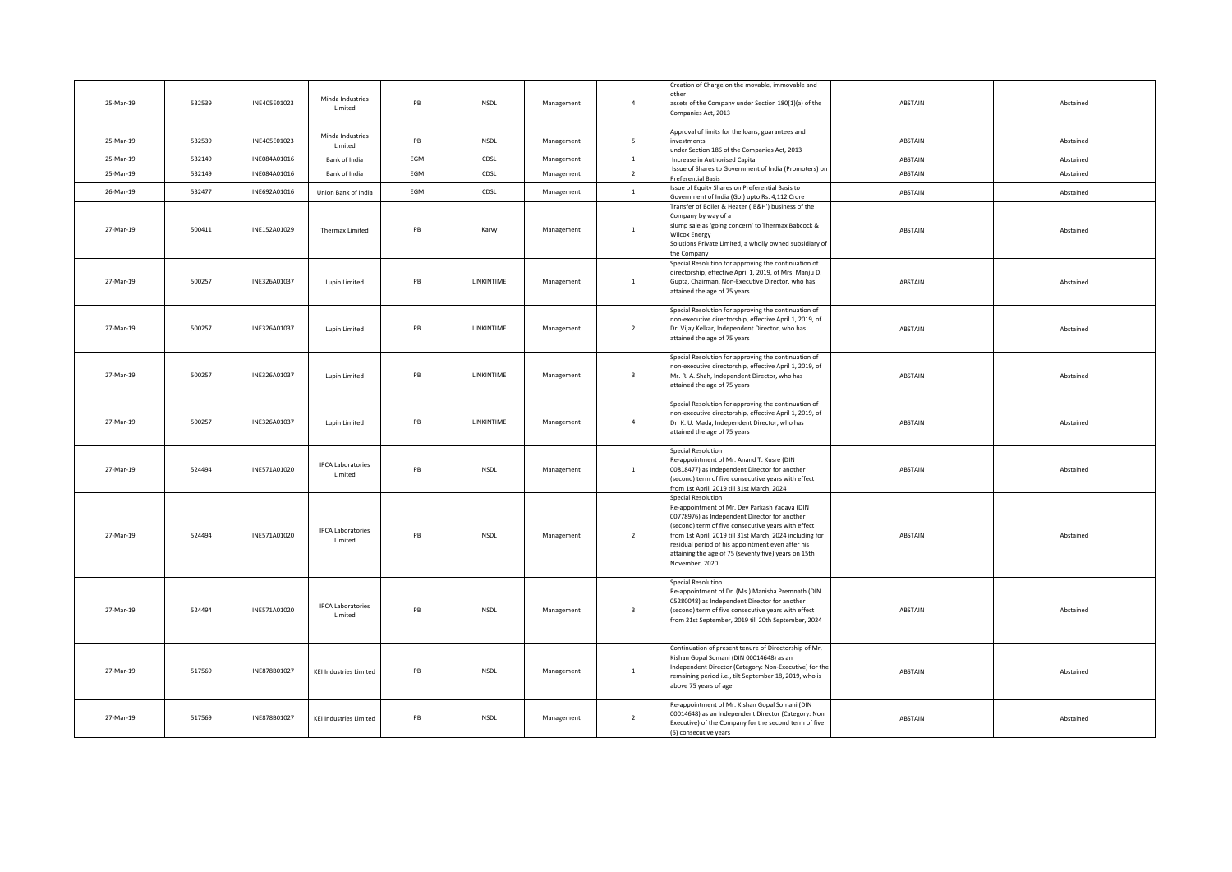| 25-Mar-19 | 532539 | INE405E01023 | Minda Industries<br>Limited         | PB  | NSDL              | Management | $\overline{4}$          | Creation of Charge on the movable, immovable and<br>other<br>assets of the Company under Section 180(1)(a) of the<br>Companies Act, 2013                                                                                                                                                                                                                                     | ABSTAIN | Abstained |
|-----------|--------|--------------|-------------------------------------|-----|-------------------|------------|-------------------------|------------------------------------------------------------------------------------------------------------------------------------------------------------------------------------------------------------------------------------------------------------------------------------------------------------------------------------------------------------------------------|---------|-----------|
| 25-Mar-19 | 532539 | INE405E01023 | Minda Industries<br>Limited         | PB  | <b>NSDL</b>       | Management | $\overline{5}$          | Approval of limits for the loans, guarantees and<br>nvestments<br>nder Section 186 of the Companies Act, 2013                                                                                                                                                                                                                                                                | ABSTAIN | Abstained |
| 25-Mar-19 | 532149 | INE084A01016 | Bank of India                       | EGM | CDSL              | Management | 1                       | Increase in Authorised Capital                                                                                                                                                                                                                                                                                                                                               | ABSTAIN | Abstained |
| 25-Mar-19 | 532149 | INE084A01016 | Bank of India                       | EGM | CDSL              | Management | $\overline{z}$          | Issue of Shares to Government of India (Promoters) on<br>Preferential Basis                                                                                                                                                                                                                                                                                                  | ABSTAIN | Abstained |
| 26-Mar-19 | 532477 | INE692A01016 | Union Bank of India                 | EGM | CDSL              | Management | $\mathbf{1}$            | ssue of Equity Shares on Preferential Basis to<br>Government of India (GoI) upto Rs. 4,112 Crore                                                                                                                                                                                                                                                                             | ABSTAIN | Abstained |
| 27-Mar-19 | 500411 | INE152A01029 | Thermax Limited                     | PB  | Karvy             | Management | 1                       | ransfer of Boiler & Heater ('B&H') business of the<br>Company by way of a<br>slump sale as 'going concern' to Thermax Babcock &<br><b>Nilcox Energy</b><br>Solutions Private Limited, a wholly owned subsidiary of<br>the Company                                                                                                                                            | ABSTAIN | Abstained |
| 27-Mar-19 | 500257 | INE326A01037 | Lupin Limited                       | PB  | LINKINTIME        | Management | $\mathbf{1}$            | Special Resolution for approving the continuation of<br>directorship, effective April 1, 2019, of Mrs. Manju D.<br>Gupta, Chairman, Non-Executive Director, who has<br>attained the age of 75 years                                                                                                                                                                          | ABSTAIN | Abstained |
| 27-Mar-19 | 500257 | INE326A01037 | Lupin Limited                       | PB  | LINKINTIME        | Management | $\overline{2}$          | Special Resolution for approving the continuation of<br>non-executive directorship, effective April 1, 2019, of<br>Dr. Vijay Kelkar, Independent Director, who has<br>attained the age of 75 years                                                                                                                                                                           | ABSTAIN | Abstained |
| 27-Mar-19 | 500257 | INE326A01037 | Lupin Limited                       | PB  | <b>LINKINTIME</b> | Management | $\overline{\mathbf{3}}$ | Special Resolution for approving the continuation of<br>non-executive directorship, effective April 1, 2019, of<br>Mr. R. A. Shah, Independent Director, who has<br>attained the age of 75 years                                                                                                                                                                             | ABSTAIN | Abstained |
| 27-Mar-19 | 500257 | INE326A01037 | Lupin Limited                       | PB  | LINKINTIME        | Management | $\overline{4}$          | Special Resolution for approving the continuation of<br>non-executive directorship, effective April 1, 2019, of<br>Dr. K. U. Mada, Independent Director, who has<br>attained the age of 75 years                                                                                                                                                                             | ABSTAIN | Abstained |
| 27-Mar-19 | 524494 | INE571A01020 | <b>IPCA Laboratories</b><br>Limited | PB  | <b>NSDL</b>       | Management | $\mathbf{1}$            | <b>Special Resolution</b><br>Re-appointment of Mr. Anand T. Kusre (DIN<br>00818477) as Independent Director for another<br>second) term of five consecutive years with effect<br>from 1st April, 2019 till 31st March, 2024                                                                                                                                                  | ABSTAIN | Abstained |
| 27-Mar-19 | 524494 | INE571A01020 | <b>IPCA Laboratories</b><br>Limited | PB  | <b>NSDL</b>       | Management | $\overline{2}$          | <b>Special Resolution</b><br>Re-appointment of Mr. Dev Parkash Yadava (DIN<br>00778976) as Independent Director for another<br>second) term of five consecutive years with effect<br>from 1st April, 2019 till 31st March, 2024 including for<br>residual period of his appointment even after his<br>attaining the age of 75 (seventy five) years on 15th<br>November, 2020 | ABSTAIN | Abstained |
| 27-Mar-19 | 524494 | INE571A01020 | <b>IPCA Laboratories</b><br>Limited | PB  | <b>NSDL</b>       | Management | $\overline{\mathbf{3}}$ | <b>Special Resolution</b><br>Re-appointment of Dr. (Ms.) Manisha Premnath (DIN<br>05280048) as Independent Director for another<br>(second) term of five consecutive years with effect<br>from 21st September, 2019 till 20th September, 2024                                                                                                                                | ABSTAIN | Abstained |
| 27-Mar-19 | 517569 | INE878B01027 | <b>KEI Industries Limited</b>       | PB  | <b>NSDL</b>       | Management | $1\,$                   | Continuation of present tenure of Directorship of Mr,<br>Kishan Gopal Somani (DIN 00014648) as an<br>Independent Director (Category: Non-Executive) for the<br>emaining period i.e., tilt September 18, 2019, who is<br>above 75 years of age                                                                                                                                | ABSTAIN | Abstained |
| 27-Mar-19 | 517569 | INE878B01027 | <b>KEI Industries Limited</b>       | PB  | <b>NSDL</b>       | Management | $\overline{2}$          | Re-appointment of Mr. Kishan Gopal Somani (DIN<br>00014648) as an Independent Director (Category: Non<br>Executive) of the Company for the second term of five<br>(5) consecutive years                                                                                                                                                                                      | ABSTAIN | Abstained |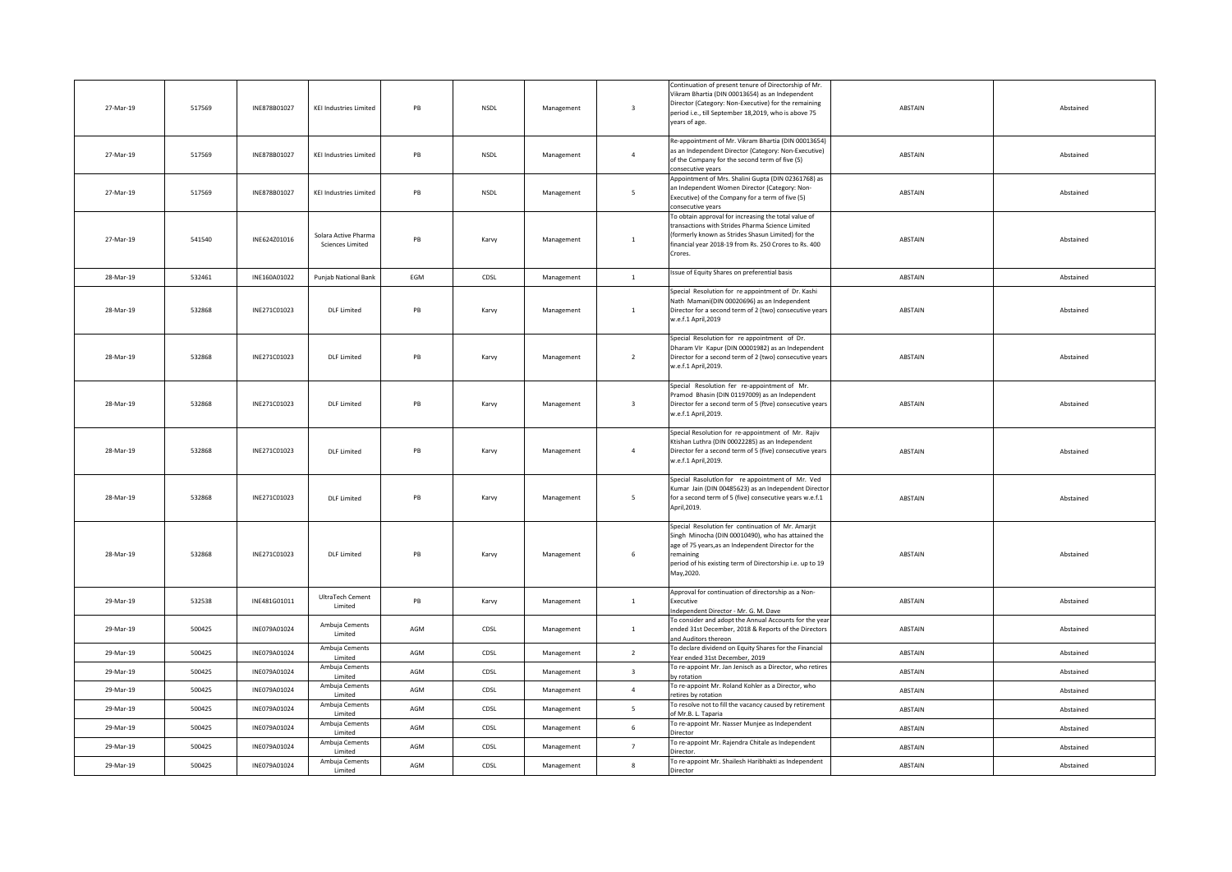| 27-Mar-19 | 517569 | INE878B01027 | <b>KEI Industries Limited</b>                   | PB        | <b>NSDL</b> | Management | $\overline{\mathbf{3}}$ | Continuation of present tenure of Directorship of Mr.<br>/ikram Bhartia (DIN 00013654) as an Independent<br>Director (Category: Non-Executive) for the remaining<br>period i.e., till September 18,2019, who is above 75<br>years of age.               | ABSTAIN | Abstained |
|-----------|--------|--------------|-------------------------------------------------|-----------|-------------|------------|-------------------------|---------------------------------------------------------------------------------------------------------------------------------------------------------------------------------------------------------------------------------------------------------|---------|-----------|
| 27-Mar-19 | 517569 | INE878B01027 | <b>KEI Industries Limited</b>                   | PB        | NSDL        | Management | $\overline{4}$          | Re-appointment of Mr. Vikram Bhartia (DIN 00013654)<br>as an Independent Director (Category: Non-Executive)<br>of the Company for the second term of five (5)<br>consecutive vears                                                                      | ABSTAIN | Abstained |
| 27-Mar-19 | 517569 | INE878B01027 | <b>KEI Industries Limited</b>                   | PB        | NSDL        | Management | 5 <sub>1</sub>          | Appointment of Mrs. Shalini Gupta (DIN 02361768) as<br>an Independent Women Director (Category: Non-<br>Executive) of the Company for a term of five (5)<br>onsecutive vears                                                                            | ABSTAIN | Abstained |
| 27-Mar-19 | 541540 | INE624Z01016 | Solara Active Pharma<br><b>Sciences Limited</b> | PB        | Karvy       | Management | $\mathbf{1}$            | To obtain approval for increasing the total value of<br>ransactions with Strides Pharma Science Limited<br>formerly known as Strides Shasun Limited) for the<br>financial year 2018-19 from Rs. 250 Crores to Rs. 400<br>Crores.                        | ABSTAIN | Abstained |
| 28-Mar-19 | 532461 | INE160A01022 | Punjab National Bank                            | EGM       | CDSL        | Management | $\mathbf{1}$            | Issue of Equity Shares on preferential basis                                                                                                                                                                                                            | ABSTAIN | Abstained |
| 28-Mar-19 | 532868 | INE271C01023 | <b>DLF</b> Limited                              | PB        | Karvy       | Management | $\mathbf{1}$            | Special Resolution for re appointment of Dr. Kashi<br>Nath Mamani(DIN 00020696) as an Independent<br>Director for a second term of 2 (two) consecutive years<br>w.e.f.1 April,2019                                                                      | ABSTAIN | Abstained |
| 28-Mar-19 | 532868 | INE271C01023 | <b>DLF Limited</b>                              | <b>PR</b> | Karvy       | Management | $\overline{2}$          | Special Resolution for re appointment of Dr.<br>Dharam VIr Kapur (DIN 00001982) as an Independent<br>Director for a second term of 2 (two) consecutive years<br>w.e.f.1 April,2019.                                                                     | ABSTAIN | Abstained |
| 28-Mar-19 | 532868 | INE271C01023 | <b>DLF</b> Limited                              | PB        | Karvy       | Management | $\overline{\mathbf{3}}$ | Special Resolution fer re-appointment of Mr.<br>Pramod Bhasin (DIN 01197009) as an Independent<br>Director fer a second term of 5 (ftve) consecutive years<br>w.e.f.1 April,2019.                                                                       | ABSTAIN | Abstained |
| 28-Mar-19 | 532868 | INE271C01023 | DJ F Limited                                    | PR        | Karvy       | Management | $\overline{4}$          | Special Resolution for re-appointment of Mr. Rajiv<br>Ktishan Luthra (DIN 00022285) as an Independent<br>Director fer a second term of 5 (five) consecutive years<br>w.e.f.1 April,2019.                                                                | ABSTAIN | Abstained |
| 28-Mar-19 | 532868 | INE271C01023 | <b>DLF</b> Limited                              | PB        | Karvy       | Management | $5\overline{ }$         | Special Rasolutlon for re appointment of Mr. Ved<br>Kumar Jain (DIN 00485623) as an Independent Directo<br>for a second term of 5 (five) consecutive years w.e.f.1<br>April, 2019.                                                                      | ABSTAIN | Abstained |
| 28-Mar-19 | 532868 | INE271C01023 | <b>DLF</b> Limited                              | PB        | Karvy       | Management | 6                       | Special Resolution fer continuation of Mr. Amarjit<br>Singh Minocha (DIN 00010490), who has attained the<br>age of 75 years, as an Independent Director for the<br>remaining<br>period of his existing term of Directorship i.e. up to 19<br>May, 2020. | ABSTAIN | Abstained |
| 29-Mar-19 | 532538 | INE481G01011 | UltraTech Cement<br>Limited                     | PB        | Karvy       | Management | $\mathbf{1}$            | Approval for continuation of directorship as a Non-<br>Executive<br>Independent Director - Mr. G. M. Dave                                                                                                                                               | ABSTAIN | Abstained |
| 29-Mar-19 | 500425 | INE079A01024 | Ambuja Cements<br>Limited                       | AGM       | CDSL        | Management | $\mathbf{1}$            | To consider and adopt the Annual Accounts for the year<br>ended 31st December, 2018 & Reports of the Directors<br>and Auditors thereon                                                                                                                  | ABSTAIN | Abstained |
| 29-Mar-19 | 500425 | INE079A01024 | Ambuja Cements<br>Limited                       | AGM       | CDSL        | Management | $\overline{2}$          | To declare dividend on Equity Shares for the Financial<br>Year ended 31st December, 2019                                                                                                                                                                | ABSTAIN | Abstained |
| 29-Mar-19 | 500425 | INE079A01024 | Ambuja Cements<br>Limited                       | AGM       | CDSL        | Management | $\overline{\mathbf{3}}$ | To re-appoint Mr. Jan Jenisch as a Director, who retires<br>by rotation                                                                                                                                                                                 | ABSTAIN | Abstained |
| 29-Mar-19 | 500425 | INE079A01024 | Ambuja Cements<br>Limited                       | AGM       | CDSL        | Management | $\overline{4}$          | To re-appoint Mr. Roland Kohler as a Director, who<br>retires by rotation                                                                                                                                                                               | ABSTAIN | Abstained |
| 29-Mar-19 | 500425 | INE079A01024 | Ambuja Cements<br>Limited                       | AGM       | CDSL        | Management | $5\overline{5}$         | To resolve not to fill the vacancy caused by retirement<br>of Mr.B. L. Taparia                                                                                                                                                                          | ABSTAIN | Abstained |
| 29-Mar-19 | 500425 | INE079A01024 | Ambuja Cements<br>Limited                       | AGM       | CDSL        | Management | 6                       | To re-appoint Mr. Nasser Munjee as Independent<br>Director                                                                                                                                                                                              | ABSTAIN | Abstained |
| 29-Mar-19 | 500425 | INE079A01024 | Ambuja Cements<br>Limited                       | AGM       | CDSL        | Management | $7^{\circ}$             | To re-appoint Mr. Rajendra Chitale as Independent<br>Director.                                                                                                                                                                                          | ABSTAIN | Abstained |
| 29-Mar-19 | 500425 | INE079A01024 | Ambuja Cements<br>Limited                       | AGM       | CDSL        | Management | $\mathbf{g}$            | To re-appoint Mr. Shailesh Haribhakti as Independent<br>Director                                                                                                                                                                                        | ABSTAIN | Abstained |